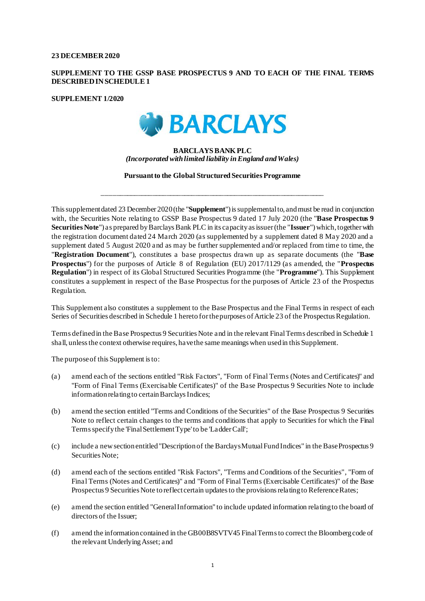#### **23 DECEMBER2020**

### **SUPPLEMENT TO THE GSSP BASE PROSPECTUS 9 AND TO EACH OF THE FINAL TERMS DESCRIBED IN SCHEDULE 1**

**SUPPLEMENT 1/2020**



#### **BARCLAYSBANKPLC** *(Incorporated with limited liability in England and Wales)*

**Pursuant to the Global Structured Securities Programme**

\_\_\_\_\_\_\_\_\_\_\_\_\_\_\_\_\_\_\_\_\_\_\_\_\_\_\_\_\_\_\_\_\_\_\_\_\_\_\_\_\_\_\_\_\_\_\_\_\_\_\_\_\_\_\_\_\_\_\_\_\_\_

This supplement dated 23 December 2020(the "**Supplement**") is supplemental to, and must be read in conjunction with, the Securities Note relating to GSSP Base Prospectus 9 dated 17 July 2020 (the "**Base Prospectus 9 Securities Note**") as prepared by Barclays Bank PLC in its capacity as issuer (the "**Issuer**") which, together with the registration document dated 24 March 2020 (as supplemented by a supplement dated 8 May 2020 and a supplement dated 5 August 2020 and as may be further supplemented and/or replaced from time to time, the "**Registration Document**"), constitutes a base prospectus drawn up as separate documents (the "**Base Prospectus**") for the purposes of Article 8 of Regulation (EU) 2017/1129 (as amended, the "**Prospectus Regulation**") in respect of its Global Structured Securities Programme (the "**Programme**"). This Supplement constitutes a supplement in respect of the Base Prospectus for the purposes of Article 23 of the Prospectus Regulation.

This Supplement also constitutes a supplement to the Base Prospectus and the Final Terms in respect of each Series of Securities described in Schedule 1 hereto for the purposes of Article 23 of the Prospectus Regulation.

Terms defined in the Base Prospectus 9 Securities Note and in the relevant Final Terms described in Schedule 1 shall, unless the context otherwise requires, have the same meanings when used in this Supplement.

The purpose of this Supplement is to:

- (a) amend each of the sections entitled "Risk Factors", "Form of Final Terms (Notes and Certificates)" and "Form of Final Terms (Exercisable Certificates)" of the Base Prospectus 9 Securities Note to include information relating to certain Barclays Indices;
- (b) amend the section entitled "Terms and Conditions of the Securities" of the Base Prospectus 9 Securities Note to reflect certain changes to the terms and conditions that apply to Securities for which the Final Terms specify the 'Final Settlement Type' to be 'Ladder Call';
- (c) include a new section entitled "Description of the Barclays Mutual Fund Indices" in the Base Prospectus 9 Securities Note;
- (d) amend each of the sections entitled "Risk Factors", "Terms and Conditions of the Securities", "Form of Final Terms (Notes and Certificates)" and "Form of Final Terms (Exercisable Certificates)" of the Base Prospectus 9 Securities Note to reflect certain updates to the provisions relating to Reference Rates;
- (e) amend the section entitled "General Information" to include updated information relating to the board of directors of the Issuer;
- (f) amend the information contained in the GB00B8SVTV45 Final Terms to correct the Bloomberg code of the relevant Underlying Asset; and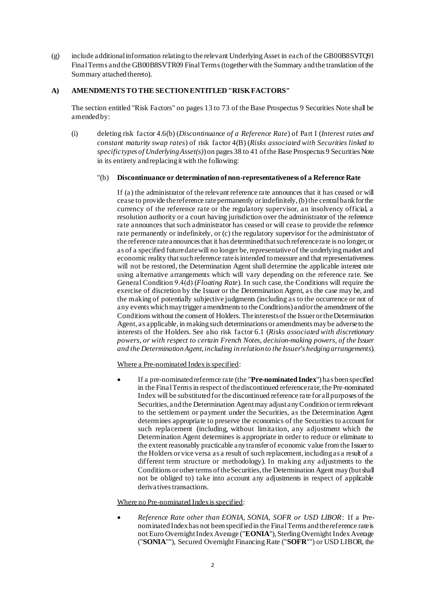(g) include additional information relating to the relevant Underlying Asset in each of the GB00B8SVTQ91 Final Terms and the GB00B8SVTR09 Final Terms (together with the Summary and the translation of the Summary attached thereto).

## **A) AMENDMENTS TO THE SECTION ENTITLED "RISK FACTORS"**

The section entitled "Risk Factors" on pages 13 to 73 of the Base Prospectus 9 Securities Note shall be amended by:

(i) deleting risk factor 4.6(b) (*Discontinuance of a Reference Rate*) of Part I (*Interest rates and constant maturity swap rates*) of risk factor 4(B) (*Risks associated with Securities linked to specific types of Underlying Asset(s)*) on pages 38 to 41 of the Base Prospectus 9 Securities Note in its entirety and replacing it with the following:

#### "(b) **Discontinuance or determination of non-representativeness of a Reference Rate**

If (a) the administrator of the relevant reference rate announces that it has ceased or will cease to provide the reference rate permanently or indefinitely, (b) the central bank for the currency of the reference rate or the regulatory supervisor, an insolvency official, a resolution authority or a court having jurisdiction over the administrator of the reference rate announces that such administrator has ceased or will cease to provide the reference rate permanently or indefinitely, or (c) the regulatory supervisor for the administrator of the reference rate announces that it has determined that such reference rate is no longer, or as of a specified future date will no longer be, representative of the underlying market and economic reality that such reference rate is intended to measure and that representativeness will not be restored, the Determination Agent shall determine the applicable interest rate using alternative arrangements which will vary depending on the reference rate. See General Condition 9.4(d) (*Floating Rate*). In such case, the Conditions will require the exercise of discretion by the Issuer or the Determination Agent, as the case may be, and the making of potentially subjective judgments (including as to the occurrence or not of any events which may trigger amendments to the Conditions) and/or the amendment of the Conditions without the consent of Holders. The interests of the Issuer or the Determination Agent, as applicable, in making such determinations or amendments may be adverse to the interests of the Holders. See also risk factor 6.1 (*Risks associated with discretionary powers, or with respect to certain French Notes, decision-making powers, of the Issuer and the Determination Agent, including in relation to the Issuer's hedging arrangements*).

## Where a Pre-nominated Index is specified:

• If a pre-nominated reference rate (the "**Pre-nominated Index**") has been specified in the Final Terms in respect of the discontinued reference rate, the Pre-nominated Index will be substituted forthe discontinued reference rate for all purposes of the Securities, and the Determination Agent may adjust any Condition or term relevant to the settlement or payment under the Securities, as the Determination Agent determines appropriate to preserve the economics of the Securities to account for such replacement (including, without limitation, any adjustment which the Determination Agent determines is appropriate in order to reduce or eliminate to the extent reasonably practicable any transfer of economic value from the Issuer to the Holders or vice versa as a result of such replacement, including as a result of a different term structure or methodology). In making any adjustments to the Conditions or other terms of the Securities, the Determination Agent may (but shall not be obliged to) take into account any adjustments in respect of applicable derivatives transactions.

#### Where no Pre-nominated Index is specified:

• *Reference Rate other than EONIA, SONIA, SOFR or USD LIBOR*: If a Prenominated Index has not been specified in the Final Terms and the reference rate is not Euro Overnight Index Average ("**EONIA**"), Sterling Overnight Index Average ("**SONIA**""), Secured Overnight Financing Rate ("**SOFR**"") or USD LIBOR, the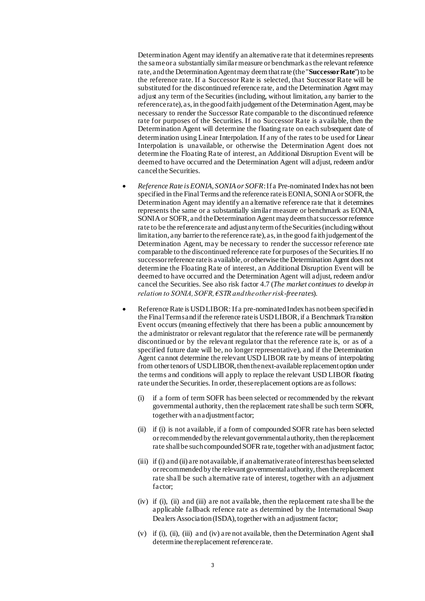Determination Agent may identify an alternative rate that it determines represents the same or a substantially similar measure or benchmark as the relevant reference rate, and the Determination Agent may deem that rate (the "**Successor Rate**") to be the reference rate. If a Successor Rate is selected, that Successor Rate will be substituted for the discontinued reference rate, and the Determination Agent may adjust any term of the Securities (including, without limitation, any barrier to the reference rate), as, in the good faith judgement of the Determination Agent, may be necessary to render the Successor Rate comparable to the discontinued reference rate for purposes of the Securities. If no Successor Rate is available, then the Determination Agent will determine the floating rate on each subsequent date of determination using Linear Interpolation. If any of the rates to be used for Linear Interpolation is unavailable, or otherwise the Determination Agent does not determine the Floating Rate of interest, an Additional Disruption Event will be deemed to have occurred and the Determination Agent will adjust, redeem and/or cancel the Securities.

- *Reference Rate is EONIA, SONIA or SOFR*: If a Pre-nominated Index has not been specified in the Final Terms and the reference rate is EONIA, SONIA or SOFR, the Determination Agent may identify an alternative reference rate that it determines represents the same or a substantially similar measure or benchmark as EONIA, SONIA or SOFR, and the Determination Agent may deem that successor reference rate to be the reference rate and adjust any term of the Securities (including without limitation, any barrier to the reference rate), as, in the good faith judgement of the Determination Agent, may be necessary to render the successor reference rate comparable to the discontinued reference rate for purposes of the Securities. If no successor reference rate is available, or otherwise the Determination Agent does not determine the Floating Rate of interest, an Additional Disruption Event will be deemed to have occurred and the Determination Agent will adjust, redeem and/or cancel the Securities. See also risk factor 4.7 (*The market continues to develop in relation to SONIA, SOFR, €STR and the other risk-free rates*).
- Reference Rate is USD LIBOR: If a pre-nominated Index has not been specified in the Final Terms and if the reference rate is USD LIBOR, if a Benchmark Transition Event occurs (meaning effectively that there has been a public announcement by the administrator or relevant regulator that the reference rate will be permanently discontinued or by the relevant regulator that the reference rate is, or as of a specified future date will be, no longer representative), and if the Determination Agent cannot determine the relevant USD LIBOR rate by means of interpolating from other tenors of USD LIBOR, then the next-available replacement option under the terms and conditions will apply to replace the relevant USD LIBOR floating rate under the Securities. In order, these replacement options are as follows:
	- (i) if a form of term SOFR has been selected or recommended by the relevant governmental authority, then the replacement rate shall be such term SOFR, together with an adjustment factor;
	- (ii) if (i) is not available, if a form of compounded SOFR rate has been selected or recommended by the relevant governmental authority, then the replacement rate shall be such compounded SOFR rate, together with an adjustment factor;
	- (iii) if (i) and (ii) are not available, if an alternative rate of interest has been selected or recommended by the relevant governmental authority, then the replacement rate shall be such alternative rate of interest, together with an adjustment factor;
	- (iv) if (i), (ii) and (iii) are not available, then the replacement rate sha ll be the applicable fallback refence rate as determined by the International Swap Dealers Association (ISDA), together with an adjustment factor;
	- (v) if (i), (ii), (iii) and (iv) are not available, then the Determination Agent shall determine the replacement reference rate.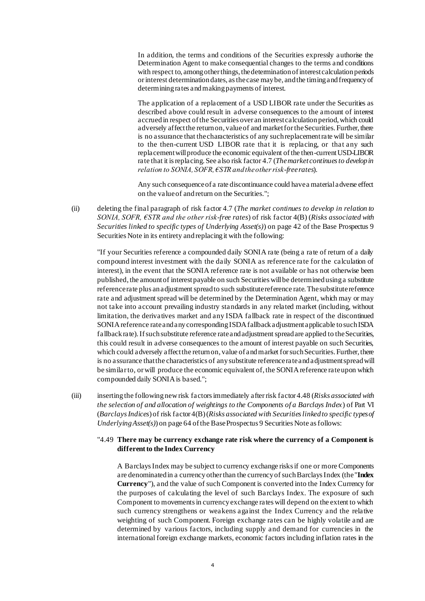In addition, the terms and conditions of the Securities expressly authorise the Determination Agent to make consequential changes to the terms and conditions with respect to, among other things, the determination of interest calculation periods or interest determination dates, as the case may be, and the timing and frequency of determining rates and making payments of interest.

The application of a replacement of a USD LIBOR rate under the Securities as described above could result in adverse consequences to the amount of interest accrued in respect of the Securities over an interest calculation period, which could adversely affect the return on, value of and market for the Securities. Further, there is no assurance that the characteristics of any such replacement rate will be similar to the then-current USD LIBOR rate that it is replacing, or that any such replacement will produce the economic equivalent of the then-current USD-LIBOR rate that it is replacing. See also risk factor 4.7 (*The market continues to develop in relation to SONIA, SOFR, €STR and the other risk-free rates*).

Any such consequence of a rate discontinuance could have a material adverse effect on the value of and return on the Securities.";

(ii) deleting the final paragraph of risk factor 4.7 (*The market continues to develop in relation to SONIA, SOFR, €STR and the other risk-free rates*) of risk factor 4(B) (*Risks associated with Securities linked to specific types of Underlying Asset(s)*) on page 42 of the Base Prospectus 9 Securities Note in its entirety and replacing it with the following:

"If your Securities reference a compounded daily SONIA rate (being a rate of return of a daily compound interest investment with the daily SONIA as reference rate for the calculation of interest), in the event that the SONIA reference rate is not available or has not otherwise been published, the amount of interest payable on such Securities will be determined using a substitute reference rate plus an adjustment spread to such substitute reference rate. The substitute reference rate and adjustment spread will be determined by the Determination Agent, which may or may not take into account prevailing industry standards in any related market (including, without limitation, the derivatives market and any ISDA fallback rate in respect of the discontinued SONIA reference rate and any corresponding ISDA fallback adjustment applicable to such ISDA fallback rate). If such substitute reference rate and adjustment spread are applied to the Securities, this could result in adverse consequences to the amount of interest payable on such Securities, which could adversely affect the return on, value of and market for such Securities. Further, there is no assurance that the characteristics of any substitute reference rate and adjustment spread will be similar to, or will produce the economic equivalent of, the SONIA reference rate upon which compounded daily SONIA is based.";

(iii) inserting the following new risk factors immediately after risk factor 4.48 (*Risks associated with the selection of and allocation of weightings to the Components of a Barclays Index*) of Part VI (*Barclays Indices*) of risk factor 4(B) (*Risks associated with Securities linked to specific types of Underlying Asset(s)*) on page 64 of the Base Prospectus 9 Securities Note as follows:

## "4.49 **There may be currency exchange rate risk where the currency of a Component is**  different to the Index Currency

A Barclays Index may be subject to currency exchange risks if one or more Components are denominated in a currency other than the currency of such Barclays Index (the "**Index Currency**"), and the value of such Component is converted into the Index Currency for the purposes of calculating the level of such Barclays Index. The exposure of such Component to movements in currency exchange rates will depend on the extent to which such currency strengthens or weakens against the Index Currency and the relative weighting of such Component. Foreign exchange rates can be highly volatile and are determined by various factors, including supply and demand for currencies in the international foreign exchange markets, economic factors including inflation rates in the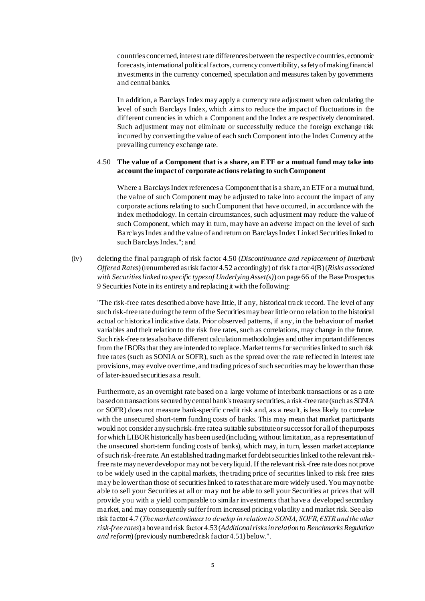countries concerned, interest rate differences between the respective countries, economic forecasts, international political factors, currency convertibility, safety of making financial investments in the currency concerned, speculation and measures taken by governments and central banks.

In addition, a Barclays Index may apply a currency rate adjustment when calculating the level of such Barclays Index, which aims to reduce the impact of fluctuations in the different currencies in which a Component and the Index are respectively denominated. Such adjustment may not eliminate or successfully reduce the foreign exchange risk incurred by converting the value of each such Component into the Index Currency at the prevailing currency exchange rate.

#### 4.50 **The value of a Component that is a share, an ETF or a mutual fund may take into account the impact of corporate actions relating to such Component**

Where a Barclays Index references a Component that is a share, an ETF or a mutual fund, the value of such Component may be adjusted to take into account the impact of any corporate actions relating to such Component that have occurred, in accordance with the index methodology. In certain circumstances, such adjustment may reduce the value of such Component, which may in turn, may have an adverse impact on the level of such Barclays Index andthe value of and return on Barclays Index Linked Securities linked to such Barclays Index."; and

(iv) deleting the final paragraph of risk factor 4.50 (*Discontinuance and replacement of Interbank Offered Rates*)(renumbered as risk factor 4.52 accordingly) of risk factor 4(B) (*Risks associated with Securities linked to specific types of Underlying Asset(s)*) on page 66 of the Base Prospectus 9 Securities Note in its entirety and replacing it with the following:

"The risk-free rates described above have little, if any, historical track record. The level of any such risk-free rate during the term of the Securities may bear little or no relation to the historical actual or historical indicative data. Prior observed patterns, if any, in the behaviour of market variables and their relation to the risk free rates, such as correlations, may change in the future. Such risk-free rates also have different calculation methodologies and other important differences from the IBORs that they are intended to replace. Market terms for securities linked to such risk free rates (such as SONIA or SOFR), such as the spread over the rate reflected in interest rate provisions, may evolve over time, and trading prices of such securities may be lower than those of later-issued securities as a result.

Furthermore, as an overnight rate based on a large volume of interbank transactions or as a rate based on transactions secured by central bank's treasury securities, a risk-free rate (such as SONIA or SOFR) does not measure bank-specific credit risk and, as a result, is less likely to correlate with the unsecured short-term funding costs of banks. This may mean that market participants would not consider any such risk-free rate a suitable substitute or successor for all of the purposes for which LIBOR historically has been used (including, without limitation, as a representation of the unsecured short-term funding costs of banks), which may, in turn, lessen market acceptance of such risk-free rate. An established trading market for debt securities linked to the relevant riskfree rate may never develop or may not be very liquid. If the relevant risk-free rate does not prove to be widely used in the capital markets, the trading price of securities linked to risk free rates may be lower than those of securities linked to rates that are more widely used. You may not be able to sell your Securities at all or may not be able to sell your Securities at prices that will provide you with a yield comparable to similar investments that have a developed secondary market, and may consequently suffer from increased pricing volatility and market risk. See also risk factor 4.7 (*The market continues to develop in relation to SONIA, SOFR, €STR and the other risk-free rates*) above and risk factor 4.53(*Additional risks in relation to Benchmarks Regulation and reform*)(previously numbered risk factor 4.51) below.".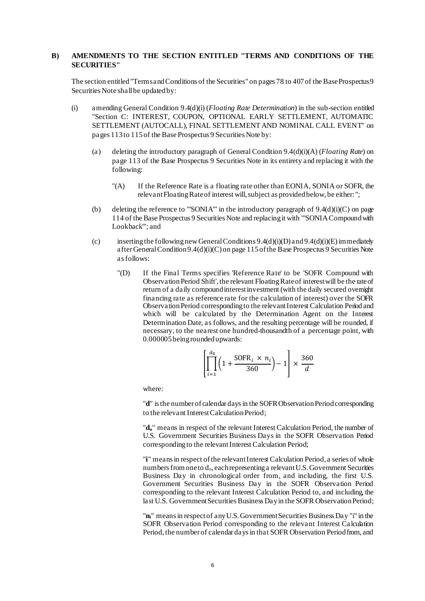### **B) AMENDMENTS TO THE SECTION ENTITLED "TERMS AND CONDITIONS OF THE SECURITIES"**

The section entitled "Terms and Conditions of the Securities" on pages 78 to 407of the Base Prospectus 9 Securities Note shall be updatedby:

- (i) amending General Condition 9.4(d)(i) (*Floating Rate Determination*) in the sub-section entitled "Section C: INTEREST, COUPON, OPTIONAL EARLY SETTLEMENT, AUTOMATIC SETTLEMENT (AUTOCALL), FINAL SETTLEMENT AND NOMINAL CALL EVENT" on pages 113to 115 of the Base Prospectus 9 Securities Note by:
	- (a) deleting the introductory paragraph of General Condition 9.4(d)(i)(A) (*Floating Rate*) on page 113 of the Base Prospectus 9 Securities Note in its entirety and replacing it with the following:
		- "(A) If the Reference Rate is a floating rate other than EONIA, SONIA or SOFR, the relevant Floating Rate of interest will, subject as provided below, be either:";
	- (b) deleting the reference to "'SONIA'" in the introductory paragraph of  $9.4(d)(i)(C)$  on page 114 of the Base Prospectus 9 Securities Note and replacing it with "'SONIA Compound with Lookback'"; and
	- (c) inserting the following new General Conditions 9.4(d)(i)(D) and 9.4(d)(i)(E) immediately after General Condition 9.4(d)(i)(C) on page 115 of the Base Prospectus 9 Securities Note as follows:
		- "(D) If the Final Terms specifies 'Reference Rate' to be 'SOFR Compound with Observation Period Shift', the relevant Floating Rate of interest will be the rate of return of a daily compound interest investment (with the daily secured overnight financing rate as reference rate for the calculation of interest) over the SOFR Observation Period corresponding to the relevant Interest Calculation Period and which will be calculated by the Determination Agent on the Interest Determination Date, as follows, and the resulting percentage will be rounded, if necessary, to the nearest one hundred-thousandth of a percentage point, with 0.000005 being rounded upwards:

$$
\left[\prod_{i=1}^{d_0} \left(1 + \frac{\text{SOFR}_i \times n_i}{360}\right) - 1\right] \times \frac{360}{d}
$$

where:

"**d**" is the number of calendar days in the SOFR Observation Period corresponding to the relevant Interest Calculation Period;

"**do**" means in respect of the relevant Interest Calculation Period, the number of U.S. Government Securities Business Days in the SOFR Observation Period corresponding to the relevant Interest Calculation Period;

"**i**" means in respect of the relevant Interest Calculation Period, a series of whole numbers from one to  $d_0$ , each representing a relevant U.S. Government Securities Business Day in chronological order from, and including, the first U.S. Government Securities Business Day in the SOFR Observation Period corresponding to the relevant Interest Calculation Period to, and including, the last U.S. Government Securities Business Day in the SOFR Observation Period;

"**ni**" means in respect of any U.S. Government Securities Business Day "i" in the SOFR Observation Period corresponding to the relevant Interest Calculation Period, the number of calendar days in that SOFR Observation Period from, and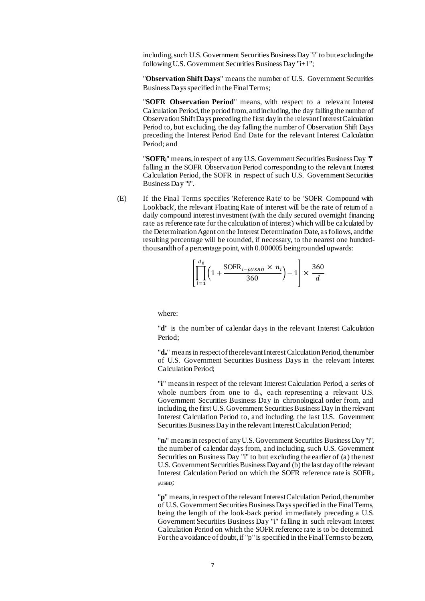including, such U.S. Government Securities Business Day "i" to but excluding the following U.S. Government Securities Business Day "i+1";

"**Observation Shift Days**" means the number of U.S. Government Securities Business Days specified in the Final Terms;

"**SOFR Observation Period**" means, with respect to a relevant Interest Calculation Period, the period from, and including, the day falling the number of Observation Shift Days preceding the first day in the relevant Interest Calculation Period to, but excluding, the day falling the number of Observation Shift Days preceding the Interest Period End Date for the relevant Interest Calculation Period; and

"**SOFRi**" means, in respect of any U.S. Government Securities Business Day "i" falling in the SOFR Observation Period corresponding to the relevant Interest Calculation Period, the SOFR in respect of such U.S. Government Securities Business Day "i".

(E) If the Final Terms specifies 'Reference Rate' to be 'SOFR Compound with Lookback', the relevant Floating Rate of interest will be the rate of return of a daily compound interest investment (with the daily secured overnight financing rate as reference rate for the calculation of interest) which will be calculated by the Determination Agent on the Interest Determination Date, as follows, and the resulting percentage will be rounded, if necessary, to the nearest one hundredthousandth of a percentage point, with 0.000005 being rounded upwards:

$$
\left[\prod_{i=1}^{d_0} \left(1 + \frac{\text{SOFR}_{i-pUSBD} \times n_i}{360}\right) - 1\right] \times \frac{360}{d}
$$

where:

"**d**" is the number of calendar days in the relevant Interest Calculation Period;

"**do**" means in respect of the relevant Interest Calculation Period, the number of U.S. Government Securities Business Days in the relevant Interest Calculation Period;

"**i**" means in respect of the relevant Interest Calculation Period, a series of whole numbers from one to  $d_0$ , each representing a relevant U.S. Government Securities Business Day in chronological order from, and including, the first U.S. Government Securities Business Day in the relevant Interest Calculation Period to, and including, the last U.S. Government Securities Business Day in the relevant Interest Calculation Period;

"**ni**" means in respect of any U.S. Government Securities Business Day "i", the number of calendar days from, and including, such U.S. Government Securities on Business Day "i" to but excluding the earlier of (a) the next U.S. Government Securities Business Day and (b) the last day of the relevant Interest Calculation Period on which the SOFR reference rate is SOFRipUSBD;

"**p**" means, in respect of the relevant Interest Calculation Period, the number of U.S. Government Securities Business Days specified in the Final Terms, being the length of the look-back period immediately preceding a U.S. Government Securities Business Day "i" falling in such relevant Interest Calculation Period on which the SOFR reference rate is to be determined. For the avoidance of doubt, if "p" is specified in the Final Terms to be zero,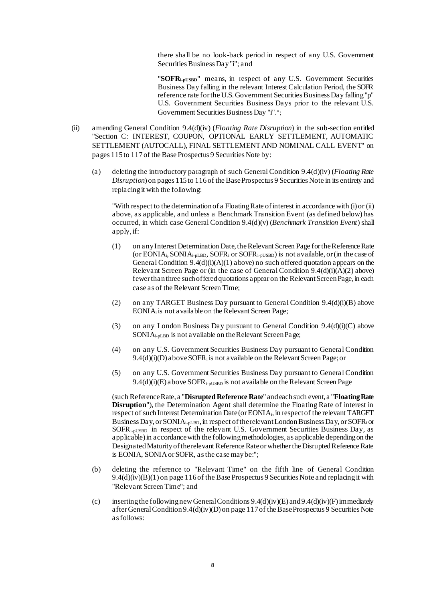there shall be no look-back period in respect of any U.S. Government Securities Business Day "i"; and

"**SOFRi-pUSBD**" means, in respect of any U.S. Government Securities Business Day falling in the relevant Interest Calculation Period, the SOFR reference rate for the U.S. Government Securities Business Day falling "p" U.S. Government Securities Business Days prior to the relevant U.S. Government Securities Business Day "i".";

- (ii) amending General Condition 9.4(d)(iv) (*Floating Rate Disruption*) in the sub-section entitled "Section C: INTEREST, COUPON, OPTIONAL EARLY SETTLEMENT, AUTOMATIC SETTLEMENT (AUTOCALL), FINAL SETTLEMENT AND NOMINAL CALL EVENT" on pages 115 to 117 of the Base Prospectus 9 Securities Note by:
	- (a) deleting the introductory paragraph of such General Condition 9.4(d)(iv) (*Floating Rate Disruption*) on pages 115 to 116 of the Base Prospectus 9 Securities Note in its entirety and replacing it with the following:

"With respect to the determination of a Floating Rate of interest in accordance with (i) or (ii) above, as applicable, and unless a Benchmark Transition Event (as defined below) has occurred, in which case General Condition 9.4(d)(v) (*Benchmark Transition Event*) shall apply, if:

- (1) on any Interest Determination Date, the Relevant Screen Page for the Reference Rate (or EONIA<sub>i</sub>, SONIA<sub>i-pLBD</sub>, SOFR<sub>i</sub> or SOFR<sub>i-pUSBD</sub>) is not available, or (in the case of General Condition  $9.4(d)(i)(A)(1)$  above) no such offered quotation appears on the Relevant Screen Page or (in the case of General Condition 9.4(d)(i)(A)(2) above) fewer than three such offered quotations appear on the Relevant Screen Page, in each case as of the Relevant Screen Time;
- (2) on any TARGET Business Day pursuant to General Condition 9.4(d)(i)(B) above EONIA<sup>i</sup> is not available on the Relevant Screen Page;
- (3) on any London Business Day pursuant to General Condition  $9.4(d)(i)(C)$  above SONIAi-pLBD is not available on the Relevant Screen Page;
- (4) on any U.S. Government Securities Business Day pursuant to General Condition  $9.4(d)(i)(D)$  above SOFR<sub>i</sub> is not a vailable on the Relevant Screen Page; or
- (5) on any U.S. Government Securities Business Day pursuant to General Condition  $9.4(d)(i)(E)$  above SOFR<sub>i-pUSBD</sub> is not a vailable on the Relevant Screen Page

(such Reference Rate, a "**Disrupted Reference Rate**" and each such event, a "**Floating Rate Disruption**"), the Determination Agent shall determine the Floating Rate of interest in respect of such Interest Determination Date (or EONIAi, in respect of the relevant TARGET Business Day, or SONIAi-pLBD, in respect of the relevant London Business Day, or SOFR<sup>i</sup> or SOFRi-pUSBD in respect of the relevant U.S. Government Securities Business Day, as applicable) in accordance with the following methodologies, as applicable depending on the Designated Maturity of the relevant Reference Rate or whether the Disrupted Reference Rate is EONIA, SONIA or SOFR, as the case may be:";

- (b) deleting the reference to "Relevant Time" on the fifth line of General Condition 9.4(d)(iv)(B)(1) on page 116of the Base Prospectus 9 Securities Note and replacing it with "Relevant Screen Time"; and
- (c) inserting the following new General Conditions  $9.4(d)(iv)(E)$  and  $9.4(d)(iv)(F)$  immediately after General Condition 9.4(d)(iv)(D) on page 117of the Base Prospectus 9 Securities Note as follows: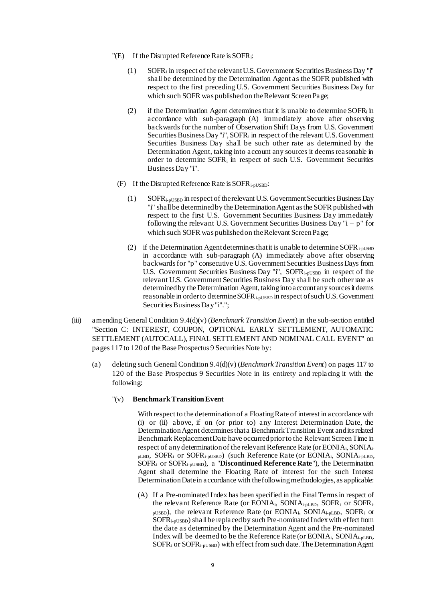- $"$ (E) If the Disrupted Reference Rate is SOFR<sub>i</sub>:
	- (1) SOFR<sup>i</sup> in respect of the relevant U.S. Government Securities Business Day "i" shall be determined by the Determination Agent as the SOFR published with respect to the first preceding U.S. Government Securities Business Day for which such SOFR was published on the Relevant Screen Page;
	- (2) if the Determination Agent determines that it is unable to determine SOFR $_i$  in accordance with sub-paragraph (A) immediately above after observing backwards for the number of Observation Shift Days from U.S. Government Securities Business Day "i",  $SOFR<sub>i</sub>$  in respect of the relevant U.S. Government Securities Business Day shall be such other rate as determined by the Determination Agent, taking into account any sources it deems reasonable in order to determine SOFR<sup>i</sup> in respect of such U.S. Government Securities Business Day "i".
	- (F) If the Disrupted Reference Rate is  $SORR_{i-pUSBD}$ :
		- (1) SOFRi-pUSBD in respect of the relevant U.S. Government Securities Business Day "i" shall be determined by the Determination Agent as the SOFR published with respect to the first U.S. Government Securities Business Day immediately following the relevant U.S. Government Securities Business Day " $i - p$ " for which such SOFR was published on the Relevant Screen Page;
		- (2) if the Determination Agent determines that it is unable to determine SOFR<sub>i-pUSBD</sub> in accordance with sub-paragraph (A) immediately above after observing backwards for "p" consecutive U.S. Government Securities Business Days from U.S. Government Securities Business Day "i", SOFR<sub>i-pUSBD</sub> in respect of the relevant U.S. Government Securities Business Day shall be such other rate as determined by the Determination Agent, taking into account any sources it deems reasonable in order to determine SOFR<sub>i-pUSBD</sub> in respect of such U.S. Government Securities Business Day "i".";
- (iii) amending General Condition 9.4(d)(v) (*Benchmark Transition Event*) in the sub-section entitled "Section C: INTEREST, COUPON, OPTIONAL EARLY SETTLEMENT, AUTOMATIC SETTLEMENT (AUTOCALL), FINAL SETTLEMENT AND NOMINAL CALL EVENT" on pages 117 to 120 of the Base Prospectus 9 Securities Note by:
	- (a) deleting such General Condition 9.4(d)(v) (*Benchmark Transition Event*) on pages 117 to 120 of the Base Prospectus 9 Securities Note in its entirety and replacing it with the following:
		- "(v) **Benchmark Transition Event**

With respect to the determination of a Floating Rate of interest in accordance with (i) or (ii) above, if on (or prior to) any Interest Determination Date, the Determination Agent determines that a Benchmark Transition Event and its related Benchmark Replacement Date have occurred prior to the Relevant Screen Time in respect of any determination of the relevant Reference Rate (or EONIAi, SONIAipLBD, SOFR<sup>i</sup> or SOFRi-pUSBD) (such Reference Rate (or EONIAi, SONIAi-pLBD, SOFR<sup>i</sup> or SOFRi-pUSBD), a "**Discontinued Reference Rate**"), the Determination Agent shall determine the Floating Rate of interest for the such Interest Determination Date in accordance with the following methodologies, as applicable:

(A) If a Pre-nominated Index has been specified in the Final Terms in respect of the relevant Reference Rate (or EONIAi, SONIAi-pLBD, SOFR<sup>i</sup> or SOFRipUSBD), the relevant Reference Rate (or EONIAi, SONIAi-pLBD, SOFR<sup>i</sup> or SOFRi-pUSBD) shall be replaced by such Pre-nominated Index with effect from the date as determined by the Determination Agent and the Pre-nominated Index will be deemed to be the Reference Rate (or EONIAi, SONIAi-pLBD,  $SOFR<sub>i</sub>$  or  $SOFR<sub>i-pUSBD</sub>$ ) with effect from such date. The Determination Agent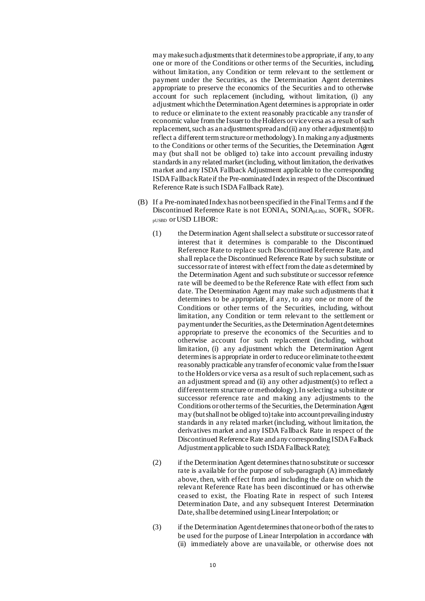may make such adjustments that it determines to be appropriate, if any, to any one or more of the Conditions or other terms of the Securities, including, without limitation, any Condition or term relevant to the settlement or payment under the Securities, as the Determination Agent determines appropriate to preserve the economics of the Securities and to otherwise account for such replacement (including, without limitation, (i) any adjustment which the Determination Agent determines is appropriate in order to reduce or eliminate to the extent reasonably practicable any transfer of economic value from the Issuer to the Holders or vice versa as a result of such replacement, such as an adjustment spread and (ii) any other adjustment(s) to reflect a different term structure or methodology). In making any adjustments to the Conditions or other terms of the Securities, the Determination Agent may (but shall not be obliged to) take into account prevailing industry standards in any related market (including, without limitation, the derivatives market and any ISDA Fallback Adjustment applicable to the corresponding ISDA Fallback Rate if the Pre-nominated Index in respect of the Discontinued Reference Rate is such ISDA Fallback Rate).

- (B) If a Pre-nominated Index has not been specified in the Final Terms and if the Discontinued Reference Rate is not EONIA<sub>i</sub>, SONIA<sub>pLBD</sub>, SOFR<sub>i</sub>, SOFR<sub>i-</sub> pUSBD or USD LIBOR:
	- (1) the Determination Agent shall select a substitute or successor rate of interest that it determines is comparable to the Discontinued Reference Rate to replace such Discontinued Reference Rate, and shall replace the Discontinued Reference Rate by such substitute or successor rate of interest with effect from the date as determined by the Determination Agent and such substitute or successor reference rate will be deemed to be the Reference Rate with effect from such date. The Determination Agent may make such adjustments that it determines to be appropriate, if any, to any one or more of the Conditions or other terms of the Securities, including, without limitation, any Condition or term relevant to the settlement or payment under the Securities, as the Determination Agent determines appropriate to preserve the economics of the Securities and to otherwise account for such replacement (including, without limitation, (i) any adjustment which the Determination Agent determines is appropriate in order to reduce or eliminate to the extent reasonably practicable any transfer of economic value from the Issuer to the Holders or vice versa as a result of such replacement, such as an adjustment spread and (ii) any other adjustment(s) to reflect a different term structure or methodology). In selecting a substitute or successor reference rate and making any adjustments to the Conditions or other terms of the Securities, the Determination Agent may (but shall not be obliged to) take into account prevailing industry standards in any related market (including, without limitation, the derivatives market and any ISDA Fallback Rate in respect of the Discontinued Reference Rate and any corresponding ISDA Fallback Adjustment applicable to such ISDA Fallback Rate);
	- (2) if the Determination Agent determines that no substitute or successor rate is available for the purpose of sub-paragraph (A) immediately above, then, with effect from and including the date on which the relevant Reference Rate has been discontinued or has otherwise ceased to exist, the Floating Rate in respect of such Interest Determination Date, and any subsequent Interest Determination Date, shall be determined using Linear Interpolation; or
	- (3) if the Determination Agent determines that one or both of the rates to be used for the purpose of Linear Interpolation in accordance with (ii) immediately above are unavailable, or otherwise does not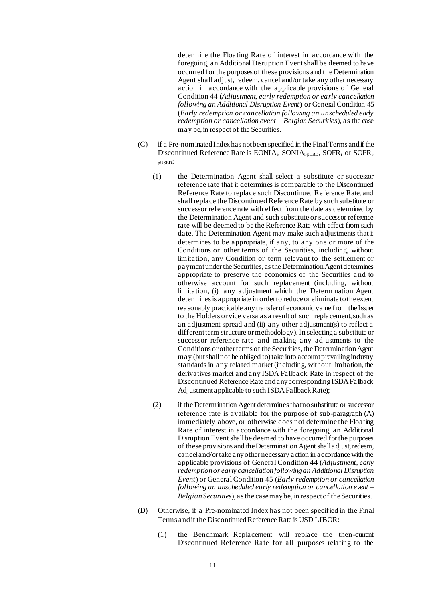determine the Floating Rate of interest in accordance with the foregoing, an Additional Disruption Event shall be deemed to have occurred for the purposes of these provisions and the Determination Agent shall adjust, redeem, cancel and/or take any other necessary action in accordance with the applicable provisions of General Condition 44 (*Adjustment, early redemption or early cancellation following an Additional Disruption Event*) or General Condition 45 (*Early redemption or cancellation following an unscheduled early redemption or cancellation event – Belgian Securities*), as the case may be, in respect of the Securities.

- (C) if a Pre-nominated Index has not been specified in the Final Terms and if the Discontinued Reference Rate is EONIA<sub>i</sub>, SONIA<sub>i-pLBD</sub>, SOFR<sub>i</sub> or SOFR<sub>i-</sub> pUSBD:
	- (1) the Determination Agent shall select a substitute or successor reference rate that it determines is comparable to the Discontinued Reference Rate to replace such Discontinued Reference Rate, and shall replace the Discontinued Reference Rate by such substitute or successor reference rate with effect from the date as determined by the Determination Agent and such substitute or successor reference rate will be deemed to be the Reference Rate with effect from such date. The Determination Agent may make such adjustments that it determines to be appropriate, if any, to any one or more of the Conditions or other terms of the Securities, including, without limitation, any Condition or term relevant to the settlement or payment under the Securities, as the Determination Agent determines appropriate to preserve the economics of the Securities a nd to otherwise account for such replacement (including, without limitation, (i) any adjustment which the Determination Agent determines is appropriate in order to reduce or eliminate to the extent reasonably practicable any transfer of economic value from the Issuer to the Holders or vice versa as a result of such replacement, such as an adjustment spread and (ii) any other adjustment(s) to reflect a different term structure or methodology). In selecting a substitute or successor reference rate and making any adjustments to the Conditions or other terms of the Securities, the Determination Agent may (but shall not be obliged to) take into account prevailing industry standards in any related market (including, without limitation, the derivatives market and any ISDA Fallback Rate in respect of the Discontinued Reference Rate and any corresponding ISDA Fallback Adjustment applicable to such ISDA Fallback Rate);
	- (2) if the Determination Agent determines that no substitute or successor reference rate is available for the purpose of sub-paragraph (A) immediately above, or otherwise does not determine the Floating Rate of interest in accordance with the foregoing, an Additional Disruption Event shall be deemed to have occurred for the purposes of these provisions and the Determination Agent shall adjust, redeem, cancel and/or take any other necessary action in accordance with the applicable provisions of General Condition 44 (*Adjustment, early redemption or early cancellation following an Additional Disruption Event*) or General Condition 45 (*Early redemption or cancellation following an unscheduled early redemption or cancellation event – Belgian Securities*), as the case may be, in respect of the Securities.
- (D) Otherwise, if a Pre-nominated Index has not been specified in the Final Terms and if the Discontinued Reference Rate is USD LIBOR:
	- (1) the Benchmark Replacement will replace the then-current Discontinued Reference Rate for all purposes relating to the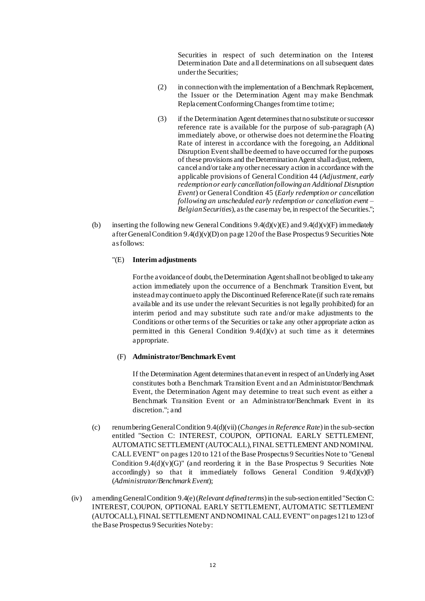Securities in respect of such determination on the Interest Determination Date and all determinations on all subsequent dates under the Securities;

- (2) in connection with the implementation of a Benchmark Replacement, the Issuer or the Determination Agent may make Benchmark Replacement Conforming Changes from time to time;
- (3) if the Determination Agent determines that no substitute or successor reference rate is available for the purpose of sub-paragraph (A) immediately above, or otherwise does not determine the Floating Rate of interest in accordance with the foregoing, an Additional Disruption Event shall be deemed to have occurred for the purposes of these provisions and the Determination Agent shall adjust, redeem, cancel and/or take any other necessary action in accordance with the applicable provisions of General Condition 44 (*Adjustment, early redemption or early cancellation following an Additional Disruption Event*) or General Condition 45 (*Early redemption or cancellation following an unscheduled early redemption or cancellation event – Belgian Securities*), as the case may be, in respect of the Securities.";
- (b) inserting the following new General Conditions  $9.4(d)(v)(E)$  and  $9.4(d)(v)(F)$  immediately after General Condition 9.4(d)(v)(D) on page 120of the Base Prospectus 9 Securities Note as follows:

#### "(E) **Interim adjustments**

For the avoidance of doubt, the Determination Agent shall not be obliged to take any action immediately upon the occurrence of a Benchmark Transition Event, but instead may continue to apply the Discontinued Reference Rate (if such rate remains available and its use under the relevant Securities is not legally prohibited) for an interim period and may substitute such rate and/or make adjustments to the Conditions or other terms of the Securities or take any other appropriate action as permitted in this General Condition  $9.4(d)(v)$  at such time as it determines appropriate.

#### (F) **Administrator/Benchmark Event**

If the Determination Agent determines that an event in respect of an Underlying Asset constitutes both a Benchmark Transition Event and an Administrator/Benchmark Event, the Determination Agent may determine to treat such event as either a Benchmark Transition Event or an Administrator/Benchmark Event in its discretion."; and

- (c) renumbering General Condition 9.4(d)(vii) (*Changes in Reference Rate*) in the sub-section entitled "Section C: INTEREST, COUPON, OPTIONAL EARLY SETTLEMENT, AUTOMATIC SETTLEMENT (AUTOCALL), FINAL SETTLEMENT AND NOMINAL CALL EVENT" on pages 120 to 121 of the Base Prospectus 9 Securities Note to "General Condition  $9.4(d)(v)(G)$ " (and reordering it in the Base Prospectus 9 Securities Note accordingly) so that it immediately follows General Condition  $9.4(d)(v)(F)$ (*Administrator/Benchmark Event*);
- (iv) amending General Condition 9.4(e) (*Relevant defined terms*) in the sub-section entitled "Section C: INTEREST, COUPON, OPTIONAL EARLY SETTLEMENT, AUTOMATIC SETTLEMENT (AUTOCALL), FINAL SETTLEMENT AND NOMINAL CALL EVENT" on pages 121 to 123 of the Base Prospectus 9 Securities Noteby: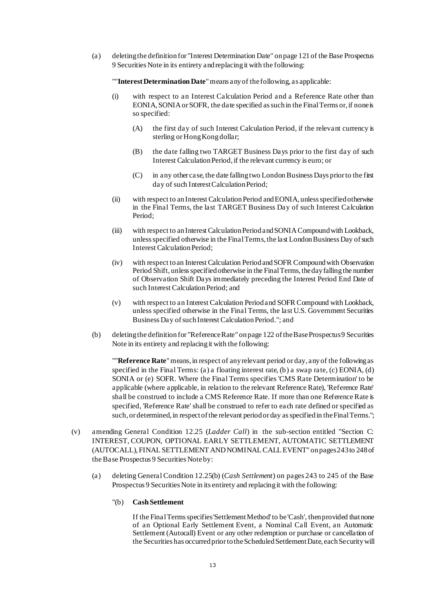(a) deleting the definition for "Interest Determination Date" on page 121 of the Base Prospectus 9 Securities Note in its entirety and replacing it with the following:

""**Interest Determination Date**" means any of the following, as applicable:

- (i) with respect to an Interest Calculation Period and a Reference Rate other than EONIA, SONIA or SOFR, the date specified as such in the Final Terms or, if none is so specified:
	- (A) the first day of such Interest Calculation Period, if the relevant currency is sterling or Hong Kong dollar;
	- (B) the date falling two TARGET Business Days prior to the first day of such Interest Calculation Period, if the relevant currency is euro; or
	- $(C)$  in any other case, the date falling two London Business Days prior to the first day of such Interest Calculation Period;
- (ii) with respect to an Interest Calculation Period and EONIA, unless specified otherwise in the Final Terms, the last TARGET Business Day of such Interest Calculation Period;
- (iii) with respect to an Interest Calculation Period and SONIA Compound with Lookback, unless specified otherwise in the Final Terms, the last London Business Day of such Interest Calculation Period;
- (iv) with respect to an Interest Calculation Period and SOFR Compound with Observation Period Shift, unless specified otherwise in the Final Terms, the day falling the number of Observation Shift Days immediately preceding the Interest Period End Date of such Interest Calculation Period; and
- (v) with respect to an Interest Calculation Period and SOFR Compound with Lookback, unless specified otherwise in the Final Terms, the last U.S. Government Securities Business Day of such Interest Calculation Period."; and
- (b) deleting the definition for "Reference Rate" on page 122 of the Base Prospectus 9 Securities Note in its entirety and replacing it with the following:

""**Reference Rate**" means, in respect of any relevant period or day, any of the following as specified in the Final Terms: (a) a floating interest rate, (b) a swap rate, (c) EONIA, (d) SONIA or (e) SOFR. Where the Final Terms specifies 'CMS Rate Determination' to be applicable (where applicable, in relation to the relevant Reference Rate), 'Reference Rate' shall be construed to include a CMS Reference Rate. If more than one Reference Rate is specified, 'Reference Rate' shall be construed to refer to each rate defined or specified as such, or determined, in respect of the relevant period or day as specified in the Final Terms.";

- (v) amending General Condition 12.25 (*Ladder Call*) in the sub-section entitled "Section C: INTEREST, COUPON, OPTIONAL EARLY SETTLEMENT, AUTOMATIC SETTLEMENT (AUTOCALL), FINAL SETTLEMENT AND NOMINAL CALL EVENT" on pages 243 to 248of the Base Prospectus 9 Securities Note by:
	- (a) deleting General Condition 12.25(b) (*Cash Settlement*) on pages 243 to 245 of the Base Prospectus 9 Securities Note in its entirety and replacing it with the following:
		- "(b) **Cash Settlement**

If the Final Terms specifies 'Settlement Method' to be 'Cash', then provided that none of an Optional Early Settlement Event, a Nominal Call Event, an Automatic Settlement (Autocall) Event or any other redemption or purchase or cancellation of the Securities has occurred prior to the Scheduled Settlement Date, each Security will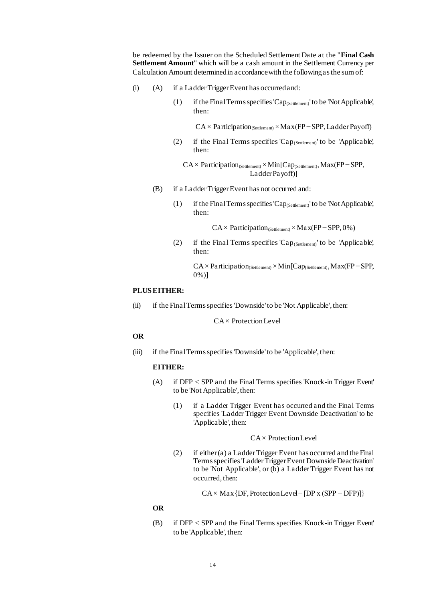be redeemed by the Issuer on the Scheduled Settlement Date at the "**Final Cash Settlement Amount**" which will be a cash amount in the Settlement Currency per Calculation Amount determined in accordance with the following as the sum of:

- (i) (A) if a Ladder Trigger Event has occurred and:
	- (1) if the Final Terms specifies 'Cap<sub>(Settlement)</sub>' to be 'Not Applicable', then:

 $CA \times$  Participation(Settlement) × Max(FP – SPP, Ladder Payoff)

(2) if the Final Terms specifies 'Cap<sub>(Settlement)</sub>' to be 'Applicable', then:

CA × Participation(Settlement) × Min[Cap(Settlement), Max(FP − SPP, Ladder Payoff)]

- (B) if a Ladder Trigger Event has not occurred and:
	- (1) if the Final Terms specifies 'Cap<sub>(Settlement)</sub>' to be 'Not Applicable', then:

 $CA \times$  Participation<sub>(Settlement)</sub> × Max(FP – SPP, 0%)

(2) if the Final Terms specifies 'Cap<sub>(Settlement)</sub>' to be 'Applicable', then:

CA× Participation(Settlement) × Min[Cap(Settlement), Max(FP − SPP, 0%)]

## **PLUS EITHER:**

(ii) if the Final Terms specifies 'Downside' to be 'Not Applicable', then:

CA × Protection Level

#### **OR**

(iii) if the Final Terms specifies 'Downside' to be 'Applicable', then:

#### **EITHER:**

- (A) if DFP < SPP and the Final Terms specifies 'Knock-in Trigger Event' to be 'Not Applicable', then:
	- (1) if a Ladder Trigger Event has occurred and the Final Terms specifies 'Ladder Trigger Event Downside Deactivation' to be 'Applicable', then:

#### CA × Protection Level

(2) if either (a) a Ladder Trigger Event has occurred and the Final Terms specifies 'Ladder Trigger Event Downside Deactivation' to be 'Not Applicable', or (b) a Ladder Trigger Event has not occurred, then:

 $CA \times Max\{DF, Protection Level - [DP x (SPP - DFP)]\}$ 

#### **OR**

(B) if DFP < SPP and the Final Terms specifies 'Knock-in Trigger Event' to be 'Applicable', then: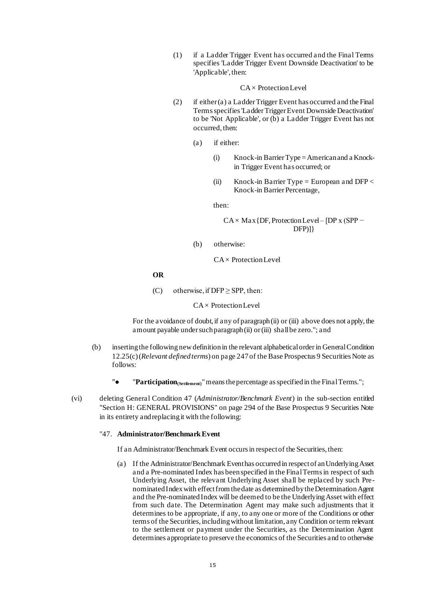(1) if a Ladder Trigger Event has occurred and the Final Terms specifies 'Ladder Trigger Event Downside Deactivation' to be 'Applicable', then:

#### $CA \times$  Protection Level

- (2) if either (a) a Ladder Trigger Event has occurred and the Final Terms specifies 'Ladder Trigger Event Downside Deactivation' to be 'Not Applicable', or (b) a Ladder Trigger Event has not occurred, then:
	- (a) if either:
		- (i) Knock-in Barrier Type = American and a Knockin Trigger Event has occurred; or
		- (ii) Knock-in Barrier Type = European and DFP  $\lt$ Knock-in Barrier Percentage,

then:

 $CA \times Max$  {DF, Protection Level – [DP x (SPP – DFP)]}

(b) otherwise:

 $CA \times$  Protection Level

**OR**

(C) otherwise, if  $DFP \geq SPP$ , then:

 $CA \times$  Protection Level

For the avoidance of doubt, if any of paragraph (ii) or (iii) above does not apply, the amount payable under such paragraph (ii) or(iii) shall be zero."; and

- (b) inserting the following new definition in the relevant alphabetical orderin General Condition 12.25(c) (*Relevant defined terms*) on page 247 of the Base Prospectus 9 Securities Note as follows:
	- **"** $\bullet$  **"Participation**<sub>(Settlement)</sub>" means the percentage as specified in the Final Terms.";
- (vi) deleting General Condition 47 (*Administrator/Benchmark Event*) in the sub-section entitled "Section H: GENERAL PROVISIONS" on page 294 of the Base Prospectus 9 Securities Note in its entirety and replacing it with the following:

#### "47. **Administrator/Benchmark Event**

If an Administrator/Benchmark Event occurs in respect of the Securities, then:

(a) If the Administrator/Benchmark Event has occurred in respect of an Underlying Asset and a Pre-nominated Index has been specified in the Final Terms in respect of such Underlying Asset, the relevant Underlying Asset shall be replaced by such Prenominated Index with effect from the date as determined by the Determination Agent and the Pre-nominated Index will be deemed to be the Underlying Asset with effect from such date. The Determination Agent may make such adjustments that it determines to be appropriate, if any, to any one or more of the Conditions or other terms of the Securities, including without limitation, any Condition or term relevant to the settlement or payment under the Securities, as the Determination Agent determines appropriate to preserve the economics of the Securities and to otherwise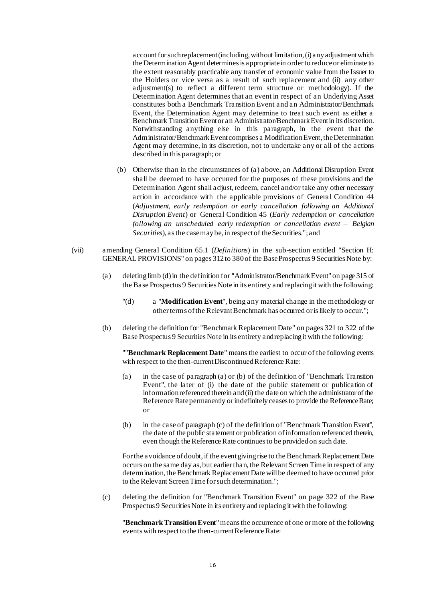account for such replacement (including, without limitation, (i) any adjustment which the Determination Agent determines is appropriate in order to reduce or eliminate to the extent reasonably practicable any transfer of economic value from the Issuer to the Holders or vice versa as a result of such replacement and (ii) any other adjustment(s) to reflect a different term structure or methodology). If the Determination Agent determines that an event in respect of an Underlying Asset constitutes both a Benchmark Transition Event and an Administrator/Benchmark Event, the Determination Agent may determine to treat such event as either a Benchmark Transition Event or an Administrator/Benchmark Event in its discretion. Notwithstanding anything else in this paragraph, in the event that the Administrator/Benchmark Event comprises a Modification Event, the Determination Agent may determine, in its discretion, not to undertake any or all of the actions described in this paragraph; or

- (b) Otherwise than in the circumstances of (a) above, an Additional Disruption Event shall be deemed to have occurred for the purposes of these provisions and the Determination Agent shall adjust, redeem, cancel and/or take any other necessary action in accordance with the applicable provisions of General Condition 44 (*Adjustment, early redemption or early cancellation following an Additional Disruption Event*) or General Condition 45 (*Early redemption or cancellation following an unscheduled early redemption or cancellation event – Belgian Securities*), as the case may be, in respect of the Securities.";and
- (vii) amending General Condition 65.1 (*Definitions*) in the sub-section entitled "Section H: GENERAL PROVISIONS" on pages 312 to 380 of the Base Prospectus 9 Securities Note by:
	- (a) deleting limb (d) in the definition for "Administrator/Benchmark Event" on page 315 of the Base Prospectus 9 Securities Note in its entirety and replacing it with the following:
		- "(d) a "**Modification Event**", being any material change in the methodology or other terms of the Relevant Benchmark has occurred or is likely to occur.";
	- (b) deleting the definition for "Benchmark Replacement Date" on pages 321 to 322 of the Base Prospectus 9 Securities Note in its entirety and replacing it with the following:

""**Benchmark Replacement Date**" means the earliest to occur of the following events with respect to the then-current Discontinued Reference Rate:

- (a) in the case of paragraph (a) or (b) of the definition of "Benchmark Transition Event", the later of (i) the date of the public statement or publication of information referenced therein and (ii) the date on which the administrator of the Reference Rate permanently or indefinitely ceases to provide the Reference Rate; or
- (b) in the case of paragraph (c) of the definition of "Benchmark Transition Event", the date of the public statement or publication of information referenced therein, even though the Reference Rate continues to be provided on such date.

For the avoidance of doubt, if the event giving rise to the Benchmark Replacement Date occurs on the same day as, but earlier than, the Relevant Screen Time in respect of any determination, the Benchmark Replacement Date will be deemed to have occurred prior to the Relevant Screen Timefor such determination.";

(c) deleting the definition for "Benchmark Transition Event" on page 322 of the Base Prospectus 9 Securities Note in its entirety and replacing it with the following:

"**Benchmark Transition Event**" means the occurrence of one or more of the following events with respect to the then-current Reference Rate: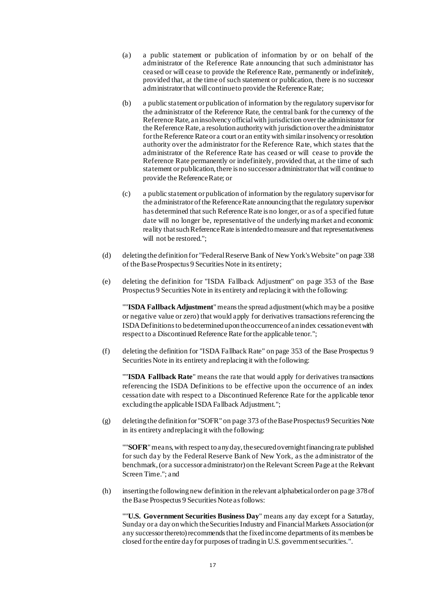- (a) a public statement or publication of information by or on behalf of the administrator of the Reference Rate announcing that such administrator has ceased or will cease to provide the Reference Rate, permanently or indefinitely, provided that, at the time of such statement or publication, there is no successor administrator that will continue to provide the Reference Rate;
- (b) a public statement or publication of information by the regulatory supervisor for the administrator of the Reference Rate, the central bank for the currency of the Reference Rate, an insolvency official with jurisdiction over the administrator for the Reference Rate, a resolution authority with jurisdiction over the administrator for the Reference Rate or a court or an entity with similar insolvency or resolution authority over the administrator for the Reference Rate, which states that the administrator of the Reference Rate has ceased or will cease to provide the Reference Rate permanently or indefinitely, provided that, at the time of such statement or publication, there is no successor administrator that will continue to provide the Reference Rate; or
- (c) a public statement or publication of information by the regulatory supervisor for the administrator of the Reference Rate announcing that the regulatory supervisor has determined that such Reference Rate is no longer, or as of a specified future date will no longer be, representative of the underlying market and economic reality that such Reference Rate is intended to measure and that representativeness will not be restored.";
- (d) deleting the definition for "Federal Reserve Bank of New York's Website" on page 338 of the Base Prospectus 9 Securities Note in its entirety;
- (e) deleting the definition for "ISDA Fallback Adjustment" on page 353 of the Base Prospectus 9 Securities Note in its entirety and replacing it with the following:

""**ISDA Fallback Adjustment**" means the spread adjustment (which may be a positive or negative value or zero) that would apply for derivatives transactions referencing the ISDA Definitions to be determined upon the occurrence of an index cessation event with respect to a Discontinued Reference Rate for the applicable tenor.";

(f) deleting the definition for "ISDA Fallback Rate" on page 353 of the Base Prospectus 9 Securities Note in its entirety and replacing it with the following:

""**ISDA Fallback Rate**" means the rate that would apply for derivatives transactions referencing the ISDA Definitions to be effective upon the occurrence of an index cessation date with respect to a Discontinued Reference Rate for the applicable tenor excluding the applicable ISDA Fallback Adjustment.";

(g) deleting the definition for "SOFR" on page 373 of the Base Prospectus 9 Securities Note in its entirety and replacing it with the following:

""**SOFR**" means, with respect to any day, the secured overnight financing rate published for such day by the Federal Reserve Bank of New York, as the administrator of the benchmark, (or a successor administrator) on the Relevant Screen Page at the Relevant Screen Time."; and

(h) inserting the following new definition in the relevant alphabetical order on page 378 of the Base Prospectus 9 Securities Note as follows:

""**U.S. Government Securities Business Day**" means any day except for a Saturday, Sunday or a day on which the Securities Industry and Financial Markets Association (or any successor thereto) recommends that the fixed income departments of its members be closed for the entire day for purposes of trading in U.S. government securities.".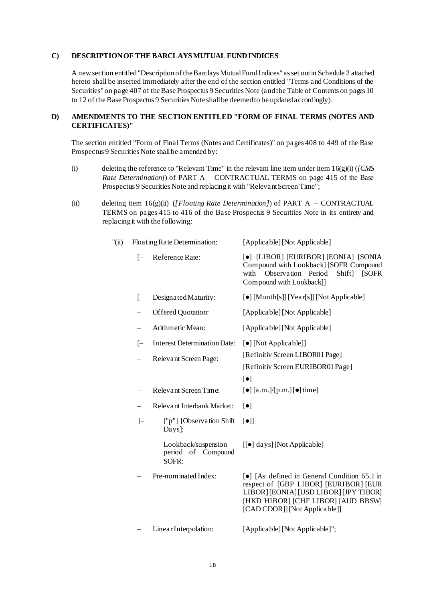### **C) DESCRIPTION OF THE BARCLAYS MUTUAL FUND INDICES**

A new section entitled "Description of the Barclays Mutual Fund Indices" as set out in Schedule 2 attached hereto shall be inserted immediately after the end of the section entitled "Terms and Conditions of the Securities" on page 407 of the Base Prospectus 9 Securities Note (and the Table of Contents on pages 10 to 12 of the Base Prospectus 9 Securities Note shall be deemed to be updated accordingly).

## **D) AMENDMENTS TO THE SECTION ENTITLED "FORM OF FINAL TERMS (NOTES AND CERTIFICATES)"**

The section entitled "Form of Final Terms (Notes and Certificates)" on pages 408 to 449 of the Base Prospectus 9 Securities Note shall be a mended by:

- (i) deleting the reference to "Relevant Time" in the relevant line item under item 16(g)(i) (*[CMS Rate Determination]*) of PART A – CONTRACTUAL TERMS on page 415 of the Base Prospectus 9 Securities Note and replacing it with "Relevant Screen Time";
- (ii) deleting item 16(g)(ii) (*[Floating Rate Determination]*) of PART A CONTRACTUAL TERMS on pages 415 to 416 of the Base Prospectus 9 Securities Note in its entirety and replacing it with the following:

| $"(\text{ii})$ | Floating Rate Determination: |                                                     | [Applicable] [Not Applicable]                                                                                                                                                                          |  |
|----------------|------------------------------|-----------------------------------------------------|--------------------------------------------------------------------------------------------------------------------------------------------------------------------------------------------------------|--|
|                | $[-]$                        | Reference Rate:                                     | [•] [LIBOR] [EURIBOR] [EONIA] [SONIA<br>Compound with Lookback] [SOFR Compound<br>Observation Period<br>with<br>Shift]<br><b>ISOFR</b><br>Compound with Lookback]]                                     |  |
|                | $[-]$                        | Designated Maturity:                                | [•] [Month[s]] [Year[s]] [Not Applicable]                                                                                                                                                              |  |
|                | $\equiv$                     | Offered Quotation:<br>[Applicable] [Not Applicable] |                                                                                                                                                                                                        |  |
|                | $\equiv$                     | Arithmetic Mean:                                    | [Applicable] [Not Applicable]                                                                                                                                                                          |  |
|                | $[-]$                        | <b>Interest Determination Date:</b>                 | [•] [Not Applicable]]                                                                                                                                                                                  |  |
|                | $\qquad \qquad -$            | Relevant Screen Page:                               | [Refinitiv Screen LIBOR01 Page]<br>[Refinitiv Screen EURIBOR01 Page]<br>$\left[\bullet\right]$                                                                                                         |  |
|                | $\overline{\phantom{m}}$     | <b>Relevant Screen Time:</b>                        | $\left[\bullet\right]$ [a.m.]/[p.m.] $\left[\bullet\right]$ time]                                                                                                                                      |  |
|                |                              | Relevant Interbank Market:                          | $\lbrack \bullet \rbrack$                                                                                                                                                                              |  |
|                | $[-]$                        | ["p"] [Observation Shift]<br>$Days$ :               | $\lbrack \bullet \rbrack \rbrack$                                                                                                                                                                      |  |
|                |                              | Lookback/suspension<br>period of Compound<br>SOFR:  | [[ $\bullet$ ] days] [Not Applicable]                                                                                                                                                                  |  |
|                |                              | Pre-nominated Index:                                | [•] [As defined in General Condition 65.1 in<br>respect of [GBP LIBOR] [EURIBOR] [EUR<br>LIBOR] [EONIA] [USD LIBOR] [JPY TIBOR]<br>[HKD HIBOR] [CHF LIBOR] [AUD BBSW]<br>[CAD CDOR]] [Not Applicable]] |  |
|                |                              | Linear Interpolation:                               | [Applicable] [Not Applicable]";                                                                                                                                                                        |  |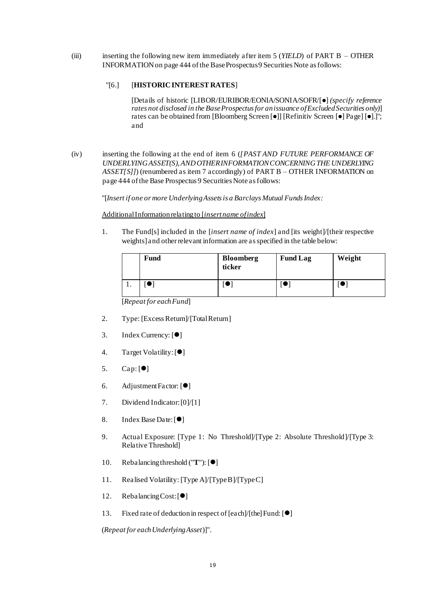(iii) inserting the following new item immediately after item 5 (*YIELD*) of PART B – OTHER INFORMATION on page 444 of the Base Prospectus 9 Securities Note as follows:

## "[6.] [**HISTORIC INTEREST RATES**]

[Details of historic [LIBOR/EURIBOR/EONIA/SONIA/SOFR/[⚫] *(specify reference rates not disclosed in the Base Prospectus for an issuance of Excluded Securities only)*] rates can be obtained from [Bloomberg Screen [●]] [Refinitiv Screen [●] Page] [●].]"; and

(iv) inserting the following at the end of item 6 (*[PAST AND FUTURE PERFORMANCE OF UNDERLYING ASSET(S), AND OTHER INFORMATION CONCERNING THE UNDERLYING*  ASSET[S]]) (renumbered as item 7 accordingly) of PART B – OTHER INFORMATION on page 444 of the Base Prospectus 9 Securities Note as follows:

"[*Insert if one or more Underlying Assets is a Barclays Mutual Funds Index:*

Additional Information relating to [*insert name of index*]

1. The Fund[s] included in the [*insert name of index*] and [its weight]/[their respective weights] and other relevant information are as specified in the table below:

|    | <b>Fund</b> | <b>Bloomberg</b><br>ticker | <b>Fund Lag</b> | Weight |
|----|-------------|----------------------------|-----------------|--------|
| ., |             |                            |                 |        |

[*Repeat for each Fund*]

- 2. Type: [Excess Return]/[Total Return]
- 3. Index Currency: [●]
- 4. Target Volatility: [ $\bullet$ ]
- 5.  $Cap: [\bullet]$
- 6. Adjustment Factor: [⚫]
- 7. Dividend Indicator: [0]/[1]
- 8. Index Base Date: [ $\bullet$ ]
- 9. Actual Exposure: [Type 1: No Threshold]/[Type 2: Absolute Threshold]/[Type 3: Relative Threshold]
- 10. Rebalancing threshold ("**T**"): [ $\bullet$ ]
- 11. Realised Volatility: [Type A]/[Type B]/[Type C]
- 12. Rebalancing Cost: [ $\bullet$ ]
- 13. Fixed rate of deduction in respect of [each]/[the] Fund: [ $\bullet$ ]

(*Repeat for each Underlying Asset*)]".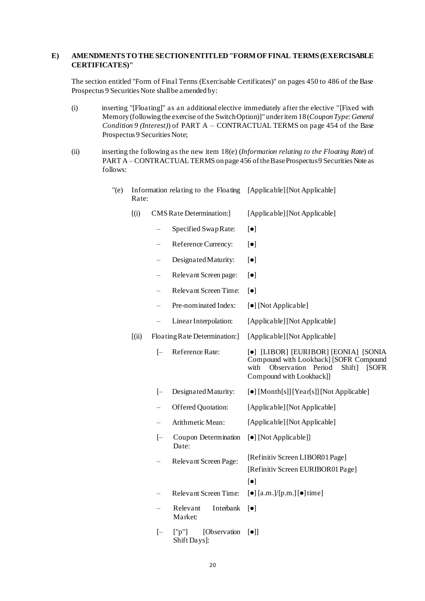#### **E) AMENDMENTS TO THE SECTION ENTITLED "FORM OF FINAL TERMS (EXERCISABLE CERTIFICATES)"**

The section entitled "Form of Final Terms (Exercisable Certificates)" on pages 450 to 486 of the Base Prospectus 9 Securities Note shall be a mended by:

- (i) inserting "[Floating]" as an additional elective immediately after the elective "[Fixed with Memory (following the exercise of the Switch Option)]" under item 18 (*Coupon Type: General Condition 9 (Interest)*) of PART A – CONTRACTUAL TERMS on page 454 of the Base Prospectus 9 Securities Note;
- (ii) inserting the following as the new item 18(e) (*Information relating to the Floating Rate*) of PART A – CONTRACTUAL TERMS on page 456 of the Base Prospectus 9 Securities Note as follows:
	- "(e) Information relating to the Floating [Applicable] [Not Applicable] Rate:
		- [(i) CMS Rate Determination:] [Applicable] [Not Applicable]
			- Specified Swap Rate:  $[\bullet]$
			- Reference Currency:  $\lceil \bullet \rceil$
			- $-$  Designated Maturity:  $\lceil \bullet \rceil$
			- Relevant Screen page:  $\lceil \bullet \rceil$
			- Relevant Screen Time: [ $\bullet$ ]
			- Pre-nominated Index:  $[\bullet]$  [Not Applicable]
			- Linear Interpolation: [Applicable] [Not Applicable]
		- [(ii) Floating Rate Determination:] [Applicable] [Not Applicable]
			- [– Reference Rate: [⚫] [LIBOR] [EURIBOR] [EONIA] [SONIA Compound with Lookback] [SOFR Compound with Observation Period Shift] [SOFR Compound with Lookback]]
			- [- Designated Maturity:  $[\bullet]$  [Month[s]] [Year[s]] [Not Applicable]
			- Offered Quotation: [Applicable] [Not Applicable]
			- Arithmetic Mean: [Applicable] [Not Applicable]
			- [– Coupon Determination Date: [⚫] [Not Applicable]]
				- Relevant Screen Page: [Refinitiv Screen LIBOR01 Page] [Refinitiv Screen EURIBOR01 Page]  $\lceil \bullet \rceil$
			- Relevant Screen Time:  $[\bullet]$  [a.m.]/[p.m.]  $[\bullet]$  time]
			- Relevant Interbank [⚫] Market:
			- $[-$  ["p"] [Observation  $[\bullet]$ ] Shift Days]: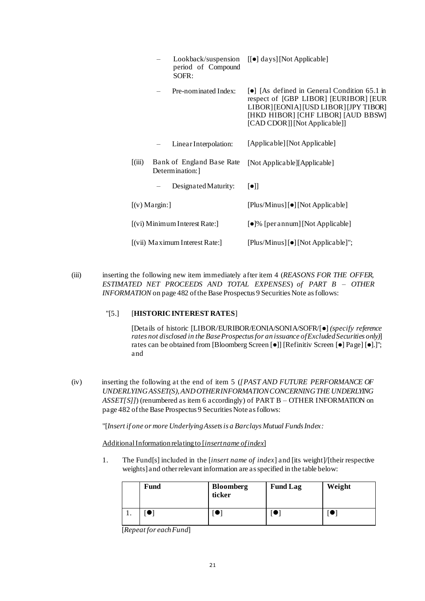|                                        |                | period of Compound<br>SOFR:                 | Lookback/suspension [[ $\bullet$ ] days] [Not Applicable]                                                                                                                                                   |
|----------------------------------------|----------------|---------------------------------------------|-------------------------------------------------------------------------------------------------------------------------------------------------------------------------------------------------------------|
|                                        |                | Pre-nominated Index:                        | <b>•</b> [As defined in General Condition 65.1 in<br>respect of [GBP LIBOR] [EURIBOR] [EUR<br>LIBOR] [EONIA] [USD LIBOR] [JPY TIBOR]<br>[HKD HIBOR] [CHF LIBOR] [AUD BBSW]<br>[CAD CDOR]] [Not Applicable]] |
|                                        |                | Linear Interpolation:                       | [Applicable] [Not Applicable]                                                                                                                                                                               |
| $\left[\left(\text{iii}\right)\right]$ |                | Bank of England Base Rate<br>Determination: | [Not Applicable][Applicable]                                                                                                                                                                                |
|                                        |                | Designated Maturity:                        | $[\bullet]$                                                                                                                                                                                                 |
|                                        | $[(v)$ Margin: |                                             | [Plus/Minus] [•] [Not Applicable]                                                                                                                                                                           |
|                                        |                | $[$ (vi) Minimum Interest Rate: $]$         | [•]% [per annum] [Not Applicable]                                                                                                                                                                           |
|                                        |                | $[$ (vii) Maximum Interest Rate: $]$        | [Plus/Minus] [•] [Not Applicable]";                                                                                                                                                                         |

(iii) inserting the following new item immediately after item 4 (*REASONS FOR THE OFFER, ESTIMATED NET PROCEEDS AND TOTAL EXPENSES*) *of PART B – OTHER INFORMATION* on page 482 of the Base Prospectus 9 Securities Note as follows:

#### "[5.] [**HISTORIC INTEREST RATES**]

[Details of historic [LIBOR/EURIBOR/EONIA/SONIA/SOFR/[⚫] *(specify reference rates not disclosed in the Base Prospectus for an issuance of Excluded Securities only)*] rates can be obtained from [Bloomberg Screen [⚫]] [Refinitiv Screen [⚫] Page] [⚫].]"; and

(iv) inserting the following at the end of item 5 (*[PAST AND FUTURE PERFORMANCE OF UNDERLYING ASSET(S), AND OTHER INFORMATION CONCERNING THE UNDERLYING ASSET[S]]*) (renumbered as item 6 accordingly) of PART B – OTHER INFORMATION on page 482 of the Base Prospectus 9 Securities Note as follows:

"[*Insert if one or more Underlying Assets is a Barclays Mutual Funds Index:*

Additional Information relating to [*insert name of index*]

1. The Fund[s] included in the [*insert name of index*] and [its weight]/[their respective weights] and other relevant information are as specified in the table below:

| Fund | <b>Bloomberg</b><br>ticker | <b>Fund Lag</b> | Weight |
|------|----------------------------|-----------------|--------|
|      |                            |                 |        |

[*Repeat for each Fund*]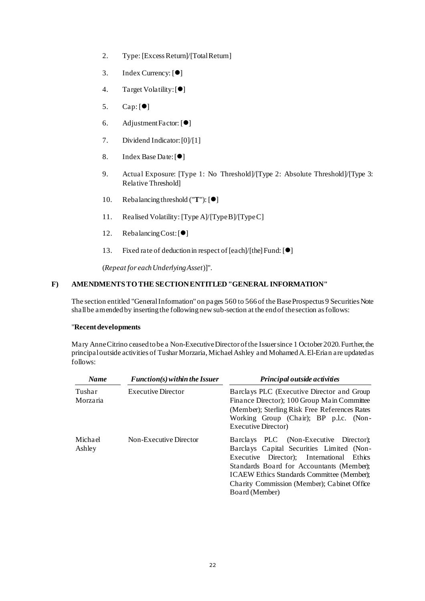- 2. Type: [Excess Return]/[Total Return]
- 3. Index Currency: [●]
- 4. Target Volatility: [ $\bullet$ ]
- 5. Cap: [●]
- 6. Adjustment Factor: [⚫]
- 7. Dividend Indicator: [0]/[1]
- 8. Index Base Date: [ $\bullet$ ]
- 9. Actual Exposure: [Type 1: No Threshold]/[Type 2: Absolute Threshold]/[Type 3: Relative Threshold]
- 10. Rebalancing threshold ("**T**"):  $[①]$
- 11. Realised Volatility: [Type A]/[Type B]/[Type C]
- 12. Rebalancing Cost: [ $\bullet$ ]
- 13. Fixed rate of deduction in respect of [each]/[the] Fund:  $[①]$

(*Repeat for each Underlying Asset*)]".

# **F) AMENDMENTS TO THE SECTION ENTITLED "GENERAL INFORMATION"**

The section entitled "General Information" on pages 560 to 566of the Base Prospectus 9 Securities Note shall be amendedby inserting the following newsub-section at the end of the section as follows:

## "**Recent developments**

Mary Anne Citrino ceased to be a Non-Executive Director of the Issuer since 1 October 2020. Further, the principal outside activities of Tushar Morzaria, Michael Ashley and Mohamed A. El-Erian are updated as follows:

| <b>Name</b>        | $Function(s)$ within the Issuer                     | Principal outside activities                                                                                                                                                                                                                                                                    |  |  |
|--------------------|-----------------------------------------------------|-------------------------------------------------------------------------------------------------------------------------------------------------------------------------------------------------------------------------------------------------------------------------------------------------|--|--|
| Tushar<br>Morzaria | <b>Executive Director</b><br>Non-Executive Director | Barclays PLC (Executive Director and Group)<br>Finance Director); 100 Group Main Committee<br>(Member); Sterling Risk Free References Rates<br>Working Group (Chair); BP p.l.c. (Non-<br><b>Executive Director</b> )                                                                            |  |  |
| Michael<br>Ashley  |                                                     | Barclays PLC (Non-Executive Director);<br>Barclays Capital Securities Limited (Non-<br>Executive Director); International<br>Ethics<br>Standards Board for Accountants (Member);<br>ICAEW Ethics Standards Committee (Member);<br>Charity Commission (Member); Cabinet Office<br>Board (Member) |  |  |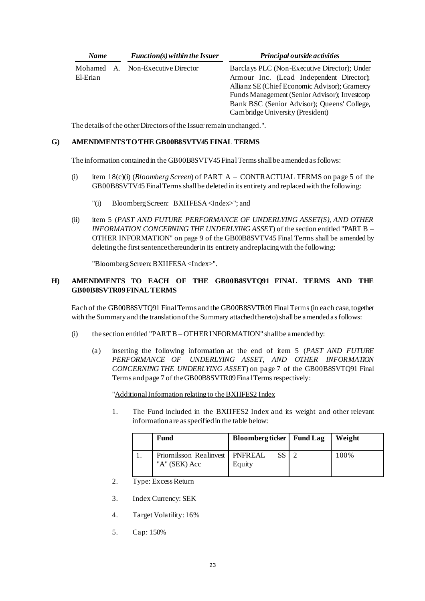| <b>Name</b>            |  | $Function(s)$ within the Issuer | Principal outside activities                                                                                                                                                                                                                                                  |
|------------------------|--|---------------------------------|-------------------------------------------------------------------------------------------------------------------------------------------------------------------------------------------------------------------------------------------------------------------------------|
| Mohamed A.<br>El-Erian |  | Non-Executive Director          | Barclays PLC (Non-Executive Director); Under<br>Armour Inc. (Lead Independent Director);<br>Allianz SE (Chief Economic Advisor); Gramercy<br>Funds Management (Senior Advisor); Investcorp<br>Bank BSC (Senior Advisor); Queens' College,<br>Cambridge University (President) |

The details of the other Directors of the Issuer remain unchanged.".

## **G) AMENDMENTS TO THE GB00B8SVTV45 FINAL TERMS**

The information contained in the GB00B8SVTV45 Final Terms shall be amended as follows:

- (i) item 18(c)(i) (*Bloomberg Screen*) of PART A CONTRACTUAL TERMS on page 5 of the GB00B8SVTV45 Final Termsshall be deleted in its entirety and replaced with the following:
	- "(i) Bloomberg Screen: BXIIFESA <Index>"; and
- (ii) item 5 (*PAST AND FUTURE PERFORMANCE OF UNDERLYING ASSET(S), AND OTHER INFORMATION CONCERNING THE UNDERLYING ASSET*) of the section entitled "PART B – OTHER INFORMATION" on page 9 of the GB00B8SVTV45 Final Terms shall be amended by deleting the first sentence thereunder in its entirety and replacing with the following:

"Bloomberg Screen:BXIIFESA <Index>".

## **H) AMENDMENTS TO EACH OF THE GB00B8SVTQ91 FINAL TERMS AND THE GB00B8SVTR09FINAL TERMS**

Each of the GB00B8SVTQ91 Final Terms and the GB00B8SVTR09 Final Terms(in each case, together with the Summary and the translation of the Summary attached thereto) shall be amended as follows:

- (i) the section entitled "PART  $B OTHER INFORMATION" shall be amended by:$ 
	- (a) inserting the following information at the end of item 5 (*PAST AND FUTURE PERFORMANCE OF UNDERLYING ASSET, AND OTHER INFORMATION CONCERNING THE UNDERLYING ASSET*) on page 7 of the GB00B8SVTQ91 Final Terms and page 7 of the GB00B8SVTR09 Final Terms respectively:

"Additional Information relating to the BXIIFES2 Index

1. The Fund included in the BXIIFES2 Index and its weight and other relevant information are as specified in the table below:

|  | Fund                              | Bloombergticker   Fund Lag | Weight |
|--|-----------------------------------|----------------------------|--------|
|  | Priornilsson Realinvest   PNFREAL |                            | 100%   |
|  | "A" (SEK) Acc                     | Equity                     |        |

- 2. Type: Excess Return
- 3. Index Currency: SEK
- 4. Target Volatility: 16%
- 5. Cap: 150%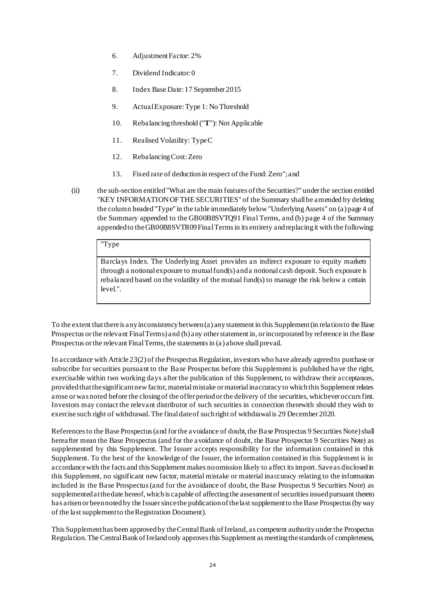- 6. Adjustment Factor: 2%
- 7. Dividend Indicator: 0
- 8. Index Base Date: 17 September 2015
- 9. Actual Exposure: Type 1: No Threshold
- 10. Rebalancing threshold ("**T**"): Not Applicable
- 11. Realised Volatility: Type C
- 12. Rebalancing Cost: Zero
- 13. Fixed rate of deduction in respect of the Fund: Zero";and
- (ii) the sub-section entitled "What are the main features of the Securities?" under the section entitled "KEY INFORMATION OF THE SECURITIES" of the Summary shall be amended by deleting the column headed "Type" in the table immediately below "Underlying Assets" on (a) page 4 of the Summary appended to the GB00B8SVTQ91 Final Terms, and (b) page 4 of the Summary appended to the GB00B8SVTR09 Final Terms in its entirety and replacing it with the following:

# "Type

Barclays Index. The Underlying Asset provides an indirect exposure to equity markets through a notional exposure to mutual fund(s) and a notional cash deposit. Such exposure is rebalanced based on the volatility of the mutual fund(s) to manage the risk below a certain level.".

To the extent that there is any inconsistency between (a) any statement in this Supplement (in relation to the Base Prospectus or the relevant FinalTerms) and (b) any other statement in, or incorporated by reference in the Base Prospectus or the relevant Final Terms, the statements in (a) above shall prevail.

In accordance with Article 23(2) of the Prospectus Regulation, investors who have already agreed to purchase or subscribe for securities pursuant to the Base Prospectus before this Supplement is published have the right, exercisable within two working days after the publication of this Supplement, to withdraw their acceptances, provided that the significant new factor, material mistake or material inaccuracy to which this Supplement relates arose or was noted before the closing of the offer period or the delivery of the securities, whichever occurs first. Investors may contact the relevant distributor of such securities in connection therewith should they wish to exercise such right of withdrawal.The final date of such right of withdrawal is 29 December 2020.

References to the Base Prospectus (and for the avoidance of doubt, the Base Prospectus 9 Securities Note) shall hereafter mean the Base Prospectus (and for the avoidance of doubt, the Base Prospectus 9 Securities Note) as supplemented by this Supplement. The Issuer accepts responsibility for the information contained in this Supplement. To the best of the knowledge of the Issuer, the information contained in this Supplement is in accordance with the facts and this Supplement makes no omission likely to affect itsimport. Save as disclosed in this Supplement, no significant new factor, material mistake or material inaccuracy relating to the information included in the Base Prospectus (and for the avoidance of doubt, the Base Prospectus 9 Securities Note) as supplemented at the date hereof, which is capable of affecting the assessment of securities issued pursuant thereto has arisen or been noted by the Issuer since the publication of the last supplement to the Base Prospectus (by way of the last supplement to the Registration Document).

This Supplement has been approved by the Central Bank of Ireland, as competent authority under the Prospectus Regulation. The Central Bank of Ireland only approves this Supplement as meeting the standards of completeness,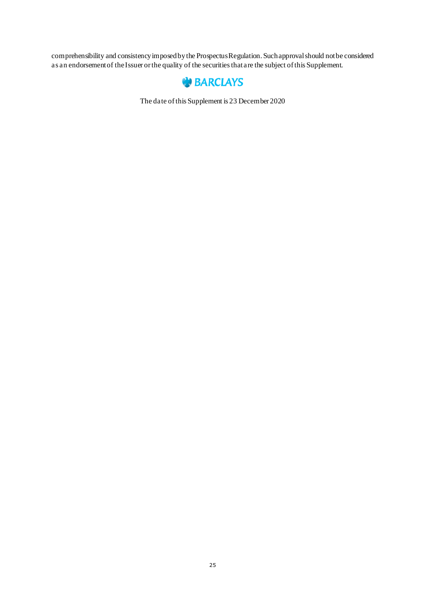comprehensibility and consistency imposed by the Prospectus Regulation. Such approval should not be considered as an endorsement of the Issuer or the quality of the securities that are the subject of this Supplement.



The date of this Supplement is 23 December 2020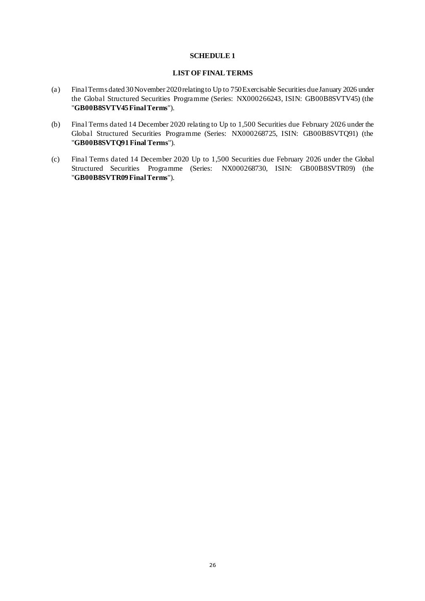#### **SCHEDULE 1**

#### **LIST OF FINAL TERMS**

- (a) Final Terms dated 30 November 2020 relating to Up to 750 Exercisable Securities due January 2026 under the Global Structured Securities Programme (Series: NX000266243, ISIN: GB00B8SVTV45) (the "**GB00B8SVTV45 Final Terms**").
- (b) Final Terms dated 14 December 2020 relating to Up to 1,500 Securities due February 2026 under the Global Structured Securities Programme (Series: NX000268725, ISIN: GB00B8SVTQ91) (the "**GB00B8SVTQ91Final Terms**").
- (c) Final Terms dated 14 December 2020 Up to 1,500 Securities due February 2026 under the Global Structured Securities Programme (Series: NX000268730, ISIN: GB00B8SVTR09) (the "**GB00B8SVTR09Final Terms**").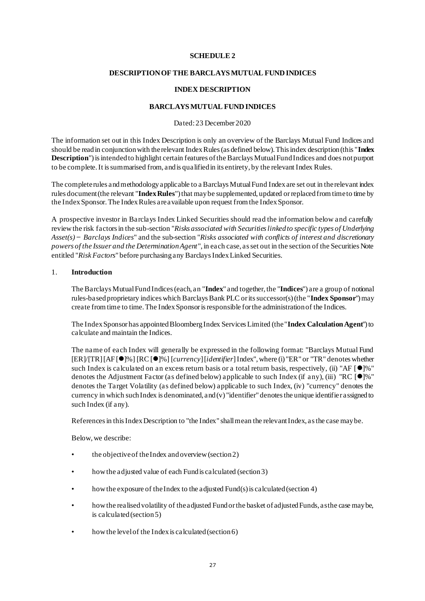## **SCHEDULE 2**

## **DESCRIPTION OF THE BARCLAYS MUTUAL FUND INDICES**

## **INDEX DESCRIPTION**

### **BARCLAYS MUTUAL FUND INDICES**

## Dated: 23 December 2020

The information set out in this Index Description is only an overview of the Barclays Mutual Fund Indices and should be read in conjunction with the relevant Index Rules (as defined below). This index description (this "**Index Description**") is intended to highlight certain features of the Barclays Mutual Fund Indices and does not purport to be complete. It is summarised from, and is qualified in its entirety, by the relevant Index Rules.

The complete rules and methodology applicable to a Barclays Mutual Fund Index are set out in the relevant index rules document (the relevant "**Index Rules**") that may be supplemented, updated or replaced from time to time by the Index Sponsor. The Index Rules are available upon request from the Index Sponsor.

A prospective investor in Barclays Index Linked Securities should read the information below and carefully review the risk factors in the sub-section "*Risks associated with Securities linked to specific types of Underlying Asset(s) ̶ Barclays Indices*" and the sub-section "*Risks associated with conflicts of interest and discretionary powers of the Issuer and the Determination Agent*", in each case, as set out in the section of the Securities Note entitled "*Risk Factors*" before purchasing any Barclays Index Linked Securities.

#### 1. **Introduction**

The Barclays Mutual Fund Indices (each, an "**Index**" and together, the "**Indices**") are a group of notional rules-based proprietary indices which Barclays Bank PLC or its successor(s) (the "**Index Sponsor**") may create from time to time. The Index Sponsor is responsible for the administration of the Indices.

The Index Sponsor has appointed Bloomberg Index Services Limited (the "**Index Calculation Agent**") to calculate and maintain the Indices.

The name of each Index will generally be expressed in the following format: "Barclays Mutual Fund [ER]/[TR] [AF [⚫]%] [RC [⚫]%] [*currency*] [*identifier*] Index", where (i) "ER" or "TR" denotes whether such Index is calculated on an excess return basis or a total return basis, respectively, (ii) "AF [●]%" denotes the Adjustment Factor (as defined below) applicable to such Index (if any), (iii) "RC  $\lceil \bullet \rceil$ %" denotes the Target Volatility (as defined below) applicable to such Index, (iv) "currency" denotes the currency in which such Index is denominated, and (v) "identifier" denotes the unique identifier assigned to such Index (if any).

References in this Index Description to "the Index" shall mean the relevant Index, as the case may be.

Below, we describe:

- the objective of the Index and overview (section 2)
- how the adjusted value of each Fund is calculated (section 3)
- how the exposure of the Index to the adjusted Fund(s) is calculated (section 4)
- how the realised volatility of the adjusted Fund or the basket of adjusted Funds, as the case may be, is calculated (section 5)
- how the level of the Index is calculated (section 6)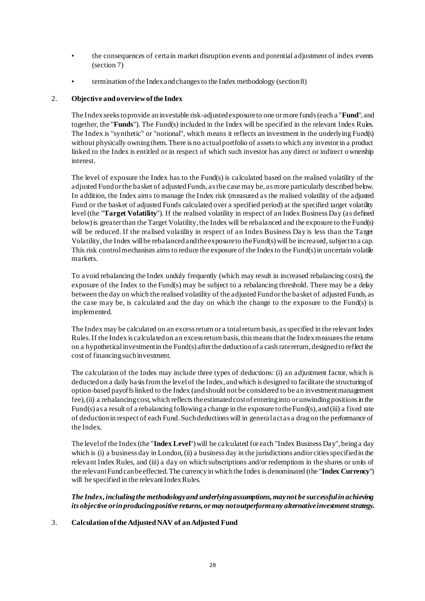- the consequences of certain market disruption events and potential adjustment of index events (section 7)
- termination of the Index and changes to the Index methodology (section 8)

## 2. **Objective and overview of the Index**

The Index seeks to provide an investable risk-adjusted exposure to one or more funds (each a "**Fund**", and together, the "**Funds**"). The Fund(s) included in the Index will be specified in the relevant Index Rules. The Index is "synthetic" or "notional", which means it reflects an investment in the underlying Fund(s) without physically owning them. There is no actual portfolio of assets to which any investor in a product linked to the Index is entitled or in respect of which such investor has any direct or indirect ownership interest.

The level of exposure the Index has to the Fund(s) is calculated based on the realised volatility of the adjusted Fund or the basket of adjusted Funds, as the case may be, as more particularly described below. In addition, the Index aims to manage the Index risk (measured as the realised volatility of the adjusted Fund or the basket of adjusted Funds calculated over a specified period) at the specified target volatility level (the "**Target Volatility**"). If the realised volatility in respect of an Index Business Day (as defined below) is greater than the Target Volatility, the Index will be rebalanced and the exposure to the Fund(s) will be reduced. If the realised volatility in respect of an Index Business Day is less than the Target Volatility, the Index will be rebalanced and the exposure to the Fund(s) will be increased, subject to a cap. This risk control mechanism aims to reduce the exposure of the Index to the Fund(s) in uncertain volatile markets.

To avoid rebalancing the Index unduly frequently (which may result in increased rebalancing costs), the exposure of the Index to the Fund(s) may be subject to a rebalancing threshold. There may be a delay between the day on which the realised volatility of the adjusted Fund or the basket of adjusted Funds, as the case may be, is calculated and the day on which the change to the exposure to the Fund(s) is implemented.

The Index may be calculated on an excess return or a total return basis, as specified in the relevant Index Rules. If the Index is calculated on an excess return basis, this means that the Index measures the returns on a hypothetical investment in the Fund(s) after the deduction of a cash rate return, designed to reflect the cost of financing such investment.

The calculation of the Index may include three types of deductions: (i) an adjustment factor, which is deducted on a daily basis from the level of the Index, and which is designed to facilitate the structuring of option-based payoffs linked to the Index (and should not be considered to be an investment management fee), (ii) a rebalancing cost, which reflects the estimated cost of entering into or unwinding positions in the Fund(s) as a result of a rebalancing following a change in the exposure to the Fund(s), and (iii) a fixed rate of deduction in respect of each Fund. Such deductions will in general act as a drag on the performance of the Index.

The level of the Index (the "**Index Level**") will be calculated for each "Index Business Day", being a day which is (i) a business day in London, (ii) a business day in the jurisdictions and/or cities specified in the relevant Index Rules, and (iii) a day on which subscriptions and/or redemptions in the shares or units of the relevant Fund can be effected. The currency in which the Index is denominated (the "**Index Currency**") will be specified in the relevant Index Rules.

*The Index, including the methodology and underlying assumptions, may not be successful in achieving its objective or in producing positive returns, or may not outperform any alternative investment strategy.*

## 3. **Calculation of the Adjusted NAV of an Adjusted Fund**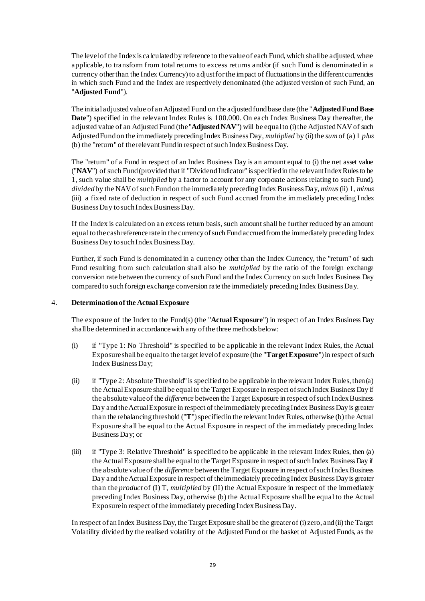The level of the Index is calculated by reference to the value of each Fund, which shall be adjusted, where applicable, to transform from total returns to excess returns and/or (if such Fund is denominated in a currency other than the Index Currency) to adjust for the impact of fluctuations in the different currencies in which such Fund and the Index are respectively denominated (the adjusted version of such Fund, an "**Adjusted Fund**").

The initial adjusted value of an Adjusted Fund on the adjusted fund base date (the "**Adjusted Fund Base Date**") specified in the relevant Index Rules is 100.000. On each Index Business Day thereafter, the adjusted value of an Adjusted Fund (the "**Adjusted NAV**") will be equal to (i) the Adjusted NAV of such Adjusted Fund on the immediately preceding Index Business Day, *multiplied* by (ii) the *sum*of (a) 1 *plus* (b) the "return" of the relevant Fund in respect of such Index Business Day.

The "return" of a Fund in respect of an Index Business Day is an amount equal to (i) the net asset value ("**NAV**") of such Fund (provided that if "Dividend Indicator" is specified in the relevant Index Rules to be 1, such value shall be *multiplied* by a factor to account for any corporate actions relating to such Fund), *divided* by the NAV of such Fund on the immediately preceding Index Business Day, *minus*(ii) 1, *minus* (iii) a fixed rate of deduction in respect of such Fund accrued from the immediately preceding I ndex Business Day to such Index Business Day.

If the Index is calculated on an excess return basis, such amount shall be further reduced by an amount equal to the cash reference rate in the currency of such Fund accrued from the immediately preceding Index Business Day to such Index Business Day.

Further, if such Fund is denominated in a currency other than the Index Currency, the "return" of such Fund resulting from such calculation shall also be *multiplied* by the ratio of the foreign exchange conversion rate between the currency of such Fund and the Index Currency on such Index Business Day compared to such foreign exchange conversion rate the immediately preceding Index Business Day.

## 4. **Determination of the Actual Exposure**

The exposure of the Index to the Fund(s) (the "**Actual Exposure**") in respect of an Index Business Day shall be determined in accordance with any of the three methods below:

- (i) if "Type 1: No Threshold" is specified to be applicable in the relevant Index Rules, the Actual Exposure shall be equal to the target level of exposure (the "**Target Exposure**") in respect of such Index Business Day;
- (ii) if "Type 2: Absolute Threshold" is specified to be applicable in the relevant Index Rules, then (a) the Actual Exposure shall be equal to the Target Exposure in respect of such Index Business Day if the absolute value of the *difference* between the Target Exposure in respect of such Index Business Day and the Actual Exposure in respect of the immediately preceding Index Business Day is greater than the rebalancing threshold ("**T**") specified in the relevant Index Rules, otherwise (b) the Actual Exposure shall be equal to the Actual Exposure in respect of the immediately preceding Index Business Day; or
- (iii) if "Type 3: Relative Threshold" is specified to be applicable in the relevant Index Rules, then (a) the Actual Exposure shall be equal to the Target Exposure in respect of such Index Business Day if the absolute value of the *difference* between the Target Exposure in respect of such Index Business Day and the Actual Exposure in respect of the immediately preceding Index Business Day is greater than the *product* of (I) T, *multiplied* by (II) the Actual Exposure in respect of the immediately preceding Index Business Day, otherwise (b) the Actual Exposure shall be equal to the Actual Exposure in respect of the immediately preceding Index Business Day.

In respect of an Index Business Day, the Target Exposure shall be the greater of (i) zero, and (ii) the Target Volatility divided by the realised volatility of the Adjusted Fund or the basket of Adjusted Funds, as the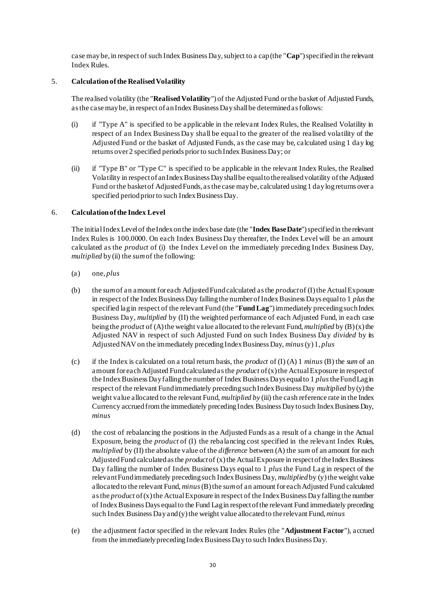case may be, in respect of such Index Business Day, subject to a cap (the "**Cap**") specified in the relevant Index Rules.

## 5. **Calculation of the Realised Volatility**

The realised volatility (the "**Realised Volatility**") of the Adjusted Fund or the basket of Adjusted Funds, as the case may be, in respect of an Index Business Day shall be determined as follows:

- (i) if "Type A" is specified to be applicable in the relevant Index Rules, the Realised Volatility in respect of an Index Business Day shall be equal to the greater of the realised volatility of the Adjusted Fund or the basket of Adjusted Funds, as the case may be, calculated using 1 day log returns over 2 specified periods prior to such Index Business Day; or
- (ii) if "Type B" or "Type C" is specified to be applicable in the relevant Index Rules, the Realised Volatility in respect of an Index Business Day shall be equal to the realised volatility of the Adjusted Fund or the basket of Adjusted Funds, as the case may be, calculated using 1 day log returns over a specified period prior to such Index Business Day.

# 6. **Calculation of the Index Level**

The initial Index Level of the Index on the index base date (the "**Index Base Date**") specified in the relevant Index Rules is 100.0000. On each Index Business Day thereafter, the Index Level will be an amount calculated as the *product* of (i) the Index Level on the immediately preceding Index Business Day, *multiplied* by(ii) the *sum*of the following:

- (a) one, *plus*
- (b) the *sum*of an amount for each Adjusted Fund calculated as the *product*of (I) the Actual Exposure in respect of the Index Business Day falling the number of Index Business Days equal to 1 *plus*the specified lag in respect of the relevant Fund (the "**FundLag**") immediately preceding such Index Business Day, *multiplied* by (II) the weighted performance of each Adjusted Fund, in each case being the *product* of (A) the weight value allocated to the relevant Fund, *multiplied* by (B) (x) the Adjusted NAV in respect of such Adjusted Fund on such Index Business Day *divided* by its Adjusted NAV on the immediately preceding Index Business Day, *minus*(y) 1, *plus*
- (c) if the Index is calculated on a total return basis, the *product* of (I) (A) 1 *minus* (B) the *sum* of an amount for each Adjusted Fund calculated as the *product* of (x) the Actual Exposure in respect of the Index Business Day falling the number of Index Business Days equal to 1 *plus*the Fund Lag in respect of the relevant Fund immediately preceding such Index Business Day *multiplied* by (y) the weight value allocated to the relevant Fund, *multiplied by* (iii) the cash reference rate in the Index Currency accrued from the immediately preceding Index Business Day to such Index Business Day, *minus*
- (d) the cost of rebalancing the positions in the Adjusted Funds as a result of a change in the Actual Exposure, being the *product* of (I) the rebalancing cost specified in the relevant Index Rules, *multiplied* by (II) the absolute value of the *difference* between (A) the *sum* of an amount for each Adjusted Fund calculated as the *product*of (x) the Actual Exposure in respect of the Index Business Day falling the number of Index Business Days equal to 1 *plus* the Fund Lag in respect of the relevant Fund immediately preceding such Index Business Day, *multiplied*by (y) the weight value allocated to the relevant Fund, *minus*(B) the *sum*of an amount for each Adjusted Fund calculated as the *product* of (x) the Actual Exposure in respect of the Index Business Day falling the number of Index Business Days equal to the Fund Lag in respect of the relevant Fund immediately preceding such Index Business Day and (y) the weight value allocated to the relevant Fund, *minus*
- (e) the adjustment factor specified in the relevant Index Rules (the "**Adjustment Factor**"), accrued from the immediately preceding Index Business Day to such Index Business Day.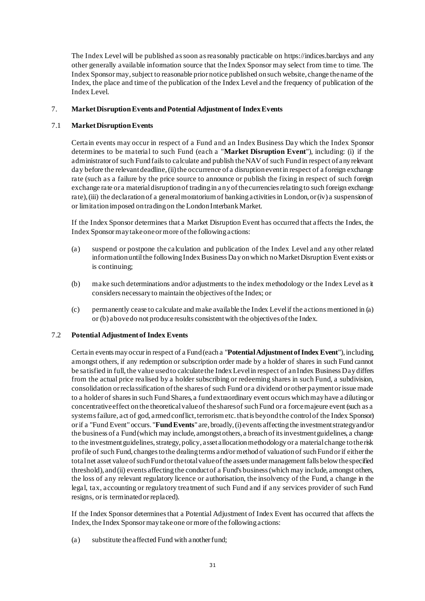The Index Level will be published as soon as reasonably practicable on https://indices.barclays and any other generally available information source that the Index Sponsor may select from time to time. The Index Sponsor may, subject to reasonable prior notice published on such website, change the name of the Index, the place and time of the publication of the Index Level and the frequency of publication of the Index Level.

# 7. **Market Disruption Events and Potential Adjustment of Index Events**

# 7.1 **Market Disruption Events**

Certain events may occur in respect of a Fund and an Index Business Day which the Index Sponsor determines to be material to such Fund (each a "**Market Disruption Event**"), including: (i) if the administrator of such Fund fails to calculate and publish the NAV of such Fund in respect of any relevant day before the relevant deadline, (ii) the occurrence of a disruption event in respect of a foreign exchange rate (such as a failure by the price source to announce or publish the fixing in respect of such foreign exchange rate or a material disruption of trading in any of the currencies relating to such foreign exchange rate), (iii) the declaration of a general moratorium of banking activities in London, or (iv) a suspension of or limitation imposed on trading on the London Interbank Market.

If the Index Sponsor determines that a Market Disruption Event has occurred that affects the Index, the Index Sponsor may take one or more of the following actions:

- (a) suspend or postpone the calculation and publication of the Index Level and any other related information until the following Index Business Day on which no Market Disruption Event exists or is continuing;
- (b) make such determinations and/or adjustments to the index methodology or the Index Level as it considers necessary to maintain the objectives of the Index; or
- (c) permanently cease to calculate and make available the Index Level if the actions mentioned in (a) or (b) above do not produce results consistent with the objectives of the Index.

## 7.2 **Potential Adjustment of Index Events**

Certain events may occur in respect of a Fund (each a "**Potential Adjustment of Index Event**"), including, amongst others, if any redemption or subscription order made by a holder of shares in such Fund cannot be satisfied in full, the value used to calculate the Index Level in respect of an Index Business Day differs from the actual price realised by a holder subscribing or redeeming shares in such Fund, a subdivision, consolidation or reclassification of the shares of such Fund or a dividend or other payment or issue made to a holder of shares in such Fund Shares, a fund extraordinary event occurs which may have a diluting or concentrative effect on the theoretical value of the shares of such Fund or a force majeure event (such as a systems failure, act of god, armed conflict, terrorism etc. that is beyond the control of the Index Sponsor) or if a "Fund Event" occurs. "**Fund Events**" are, broadly, (i) events affecting the investment strategy and/or the business of a Fund (which may include, amongst others, a breach of its investment guidelines, a change to the investment guidelines, strategy, policy, asset allocation methodology or a material change to the risk profile of such Fund, changes to the dealing terms and/or method of valuation of such Fund or if either the total net asset value of such Fund or the total value of the assets under management falls below the specified threshold), and (ii) events affecting the conduct of a Fund's business (which may include, amongst others, the loss of any relevant regulatory licence or authorisation, the insolvency of the Fund, a change in the legal, tax, accounting or regulatory treatment of such Fund and if any services provider of such Fund resigns, or is terminated or replaced).

If the Index Sponsor determines that a Potential Adjustment of Index Event has occurred that affects the Index, the Index Sponsor may take one or more of the following actions:

(a) substitute the affected Fund with another fund;